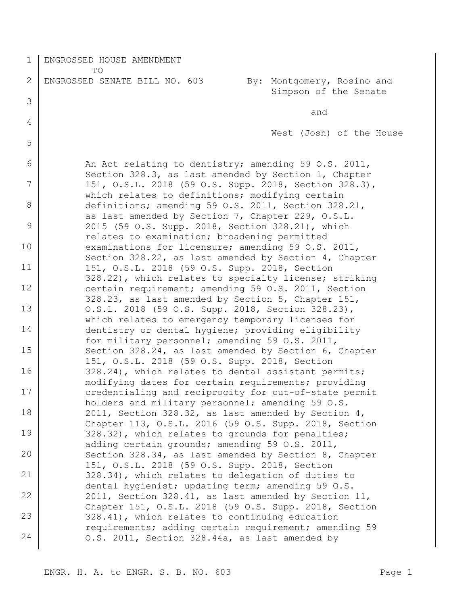1 2 3 4 5 6 7 8 9 10 11 12 13 14 15 16 17 18 19 20 21 22 23 24 ENGROSSED HOUSE AMENDMENT TO ENGROSSED SENATE BILL NO. 603 By: Montgomery, Rosino and Simpson of the Senate and West (Josh) of the House An Act relating to dentistry; amending 59 O.S. 2011, Section 328.3, as last amended by Section 1, Chapter 151, O.S.L. 2018 (59 O.S. Supp. 2018, Section 328.3), which relates to definitions; modifying certain definitions; amending 59 O.S. 2011, Section 328.21, as last amended by Section 7, Chapter 229, O.S.L. 2015 (59 O.S. Supp. 2018, Section 328.21), which relates to examination; broadening permitted examinations for licensure; amending 59 O.S. 2011, Section 328.22, as last amended by Section 4, Chapter 151, O.S.L. 2018 (59 O.S. Supp. 2018, Section 328.22), which relates to specialty license; striking certain requirement; amending 59 O.S. 2011, Section 328.23, as last amended by Section 5, Chapter 151, O.S.L. 2018 (59 O.S. Supp. 2018, Section 328.23), which relates to emergency temporary licenses for dentistry or dental hygiene; providing eligibility for military personnel; amending 59 O.S. 2011, Section 328.24, as last amended by Section 6, Chapter 151, O.S.L. 2018 (59 O.S. Supp. 2018, Section 328.24), which relates to dental assistant permits; modifying dates for certain requirements; providing credentialing and reciprocity for out-of-state permit holders and military personnel; amending 59 O.S. 2011, Section 328.32, as last amended by Section 4, Chapter 113, O.S.L. 2016 (59 O.S. Supp. 2018, Section 328.32), which relates to grounds for penalties; adding certain grounds; amending 59 O.S. 2011, Section 328.34, as last amended by Section 8, Chapter 151, O.S.L. 2018 (59 O.S. Supp. 2018, Section 328.34), which relates to delegation of duties to dental hygienist; updating term; amending 59 O.S. 2011, Section 328.41, as last amended by Section 11, Chapter 151, O.S.L. 2018 (59 O.S. Supp. 2018, Section 328.41), which relates to continuing education requirements; adding certain requirement; amending 59 O.S. 2011, Section 328.44a, as last amended by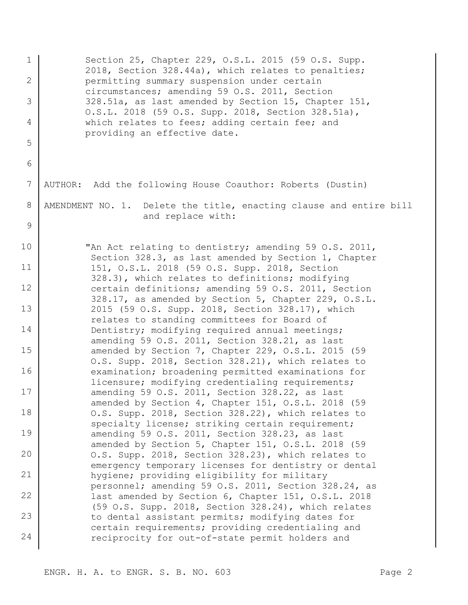1 2 3 4 5 6 7 8 9 10 11 12 13 14 15 16 17 18 19 20 21 22 23 24 Section 25, Chapter 229, O.S.L. 2015 (59 O.S. Supp. 2018, Section 328.44a), which relates to penalties; permitting summary suspension under certain circumstances; amending 59 O.S. 2011, Section 328.51a, as last amended by Section 15, Chapter 151, O.S.L. 2018 (59 O.S. Supp. 2018, Section 328.51a), which relates to fees; adding certain fee; and providing an effective date. AUTHOR: Add the following House Coauthor: Roberts (Dustin) AMENDMENT NO. 1. Delete the title, enacting clause and entire bill and replace with: "An Act relating to dentistry; amending 59 O.S. 2011, Section 328.3, as last amended by Section 1, Chapter 151, O.S.L. 2018 (59 O.S. Supp. 2018, Section 328.3), which relates to definitions; modifying certain definitions; amending 59 O.S. 2011, Section 328.17, as amended by Section 5, Chapter 229, O.S.L. 2015 (59 O.S. Supp. 2018, Section 328.17), which relates to standing committees for Board of Dentistry; modifying required annual meetings; amending 59 O.S. 2011, Section 328.21, as last amended by Section 7, Chapter 229, O.S.L. 2015 (59 O.S. Supp. 2018, Section 328.21), which relates to examination; broadening permitted examinations for licensure; modifying credentialing requirements; amending 59 O.S. 2011, Section 328.22, as last amended by Section 4, Chapter 151, O.S.L. 2018 (59 O.S. Supp. 2018, Section 328.22), which relates to specialty license; striking certain requirement; amending 59 O.S. 2011, Section 328.23, as last amended by Section 5, Chapter 151, O.S.L. 2018 (59 O.S. Supp. 2018, Section 328.23), which relates to emergency temporary licenses for dentistry or dental hygiene; providing eligibility for military personnel; amending 59 O.S. 2011, Section 328.24, as last amended by Section 6, Chapter 151, O.S.L. 2018 (59 O.S. Supp. 2018, Section 328.24), which relates to dental assistant permits; modifying dates for certain requirements; providing credentialing and reciprocity for out-of-state permit holders and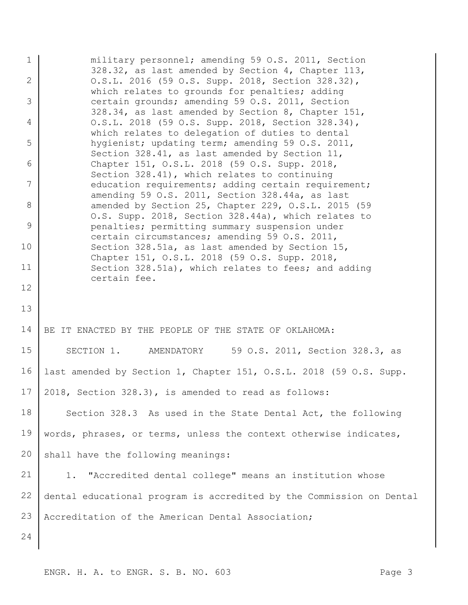1 2 3 4 5 6 7 8 9 10 11 12 13 14 15 16 17 18 19 20 21 22 23 24 military personnel; amending 59 O.S. 2011, Section 328.32, as last amended by Section 4, Chapter 113, O.S.L. 2016 (59 O.S. Supp. 2018, Section 328.32), which relates to grounds for penalties; adding certain grounds; amending 59 O.S. 2011, Section 328.34, as last amended by Section 8, Chapter 151, O.S.L. 2018 (59 O.S. Supp. 2018, Section 328.34), which relates to delegation of duties to dental hygienist; updating term; amending 59 O.S. 2011, Section 328.41, as last amended by Section 11, Chapter 151, O.S.L. 2018 (59 O.S. Supp. 2018, Section 328.41), which relates to continuing education requirements; adding certain requirement; amending 59 O.S. 2011, Section 328.44a, as last amended by Section 25, Chapter 229, O.S.L. 2015 (59 O.S. Supp. 2018, Section 328.44a), which relates to penalties; permitting summary suspension under certain circumstances; amending 59 O.S. 2011, Section 328.51a, as last amended by Section 15, Chapter 151, O.S.L. 2018 (59 O.S. Supp. 2018, Section 328.51a), which relates to fees; and adding certain fee. BE IT ENACTED BY THE PEOPLE OF THE STATE OF OKLAHOMA: SECTION 1. AMENDATORY 59 O.S. 2011, Section 328.3, as last amended by Section 1, Chapter 151, O.S.L. 2018 (59 O.S. Supp. 2018, Section 328.3), is amended to read as follows: Section 328.3 As used in the State Dental Act, the following words, phrases, or terms, unless the context otherwise indicates, shall have the following meanings: 1. "Accredited dental college" means an institution whose dental educational program is accredited by the Commission on Dental Accreditation of the American Dental Association;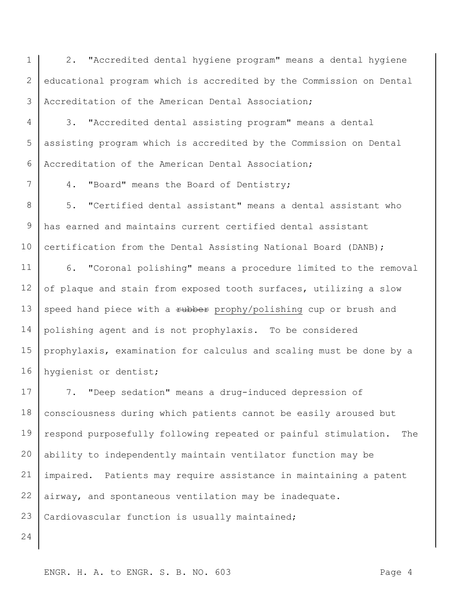1 2 3 2. "Accredited dental hygiene program" means a dental hygiene educational program which is accredited by the Commission on Dental Accreditation of the American Dental Association;

4 5 6 3. "Accredited dental assisting program" means a dental assisting program which is accredited by the Commission on Dental Accreditation of the American Dental Association;

4. "Board" means the Board of Dentistry;

8 9 10 5. "Certified dental assistant" means a dental assistant who has earned and maintains current certified dental assistant certification from the Dental Assisting National Board (DANB);

11 12 13 14 15 16 6. "Coronal polishing" means a procedure limited to the removal of plaque and stain from exposed tooth surfaces, utilizing a slow speed hand piece with a rubber prophy/polishing cup or brush and polishing agent and is not prophylaxis. To be considered prophylaxis, examination for calculus and scaling must be done by a hygienist or dentist;

17 18 19 20 21 22 23 7. "Deep sedation" means a drug-induced depression of consciousness during which patients cannot be easily aroused but respond purposefully following repeated or painful stimulation. The ability to independently maintain ventilator function may be impaired. Patients may require assistance in maintaining a patent airway, and spontaneous ventilation may be inadequate. Cardiovascular function is usually maintained;

24

7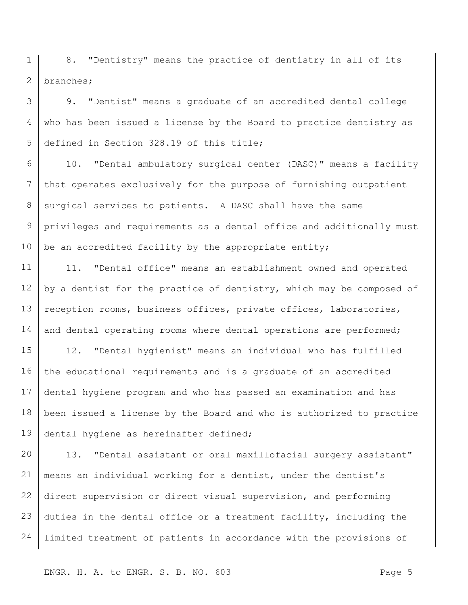1 2 8. "Dentistry" means the practice of dentistry in all of its branches;

3 4 5 9. "Dentist" means a graduate of an accredited dental college who has been issued a license by the Board to practice dentistry as defined in Section 328.19 of this title;

6 7 8 9 10 10. "Dental ambulatory surgical center (DASC)" means a facility that operates exclusively for the purpose of furnishing outpatient surgical services to patients. A DASC shall have the same privileges and requirements as a dental office and additionally must be an accredited facility by the appropriate entity;

11 12 13 14 11. "Dental office" means an establishment owned and operated by a dentist for the practice of dentistry, which may be composed of reception rooms, business offices, private offices, laboratories, and dental operating rooms where dental operations are performed;

15 16 17 18 19 12. "Dental hygienist" means an individual who has fulfilled the educational requirements and is a graduate of an accredited dental hygiene program and who has passed an examination and has been issued a license by the Board and who is authorized to practice dental hygiene as hereinafter defined;

20 21 22 23 24 13. "Dental assistant or oral maxillofacial surgery assistant" means an individual working for a dentist, under the dentist's direct supervision or direct visual supervision, and performing duties in the dental office or a treatment facility, including the limited treatment of patients in accordance with the provisions of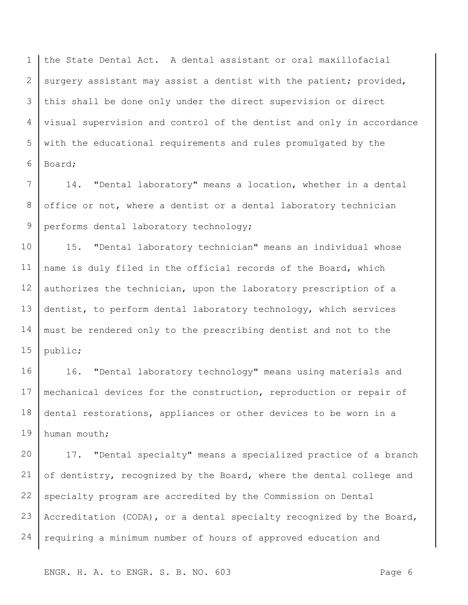1 2 3 4 5 6 the State Dental Act. A dental assistant or oral maxillofacial surgery assistant may assist a dentist with the patient; provided, this shall be done only under the direct supervision or direct visual supervision and control of the dentist and only in accordance with the educational requirements and rules promulgated by the Board;

7 8 9 14. "Dental laboratory" means a location, whether in a dental office or not, where a dentist or a dental laboratory technician performs dental laboratory technology;

10 11 12 13 14 15 15. "Dental laboratory technician" means an individual whose name is duly filed in the official records of the Board, which authorizes the technician, upon the laboratory prescription of a dentist, to perform dental laboratory technology, which services must be rendered only to the prescribing dentist and not to the public;

16 17 18 19 16. "Dental laboratory technology" means using materials and mechanical devices for the construction, reproduction or repair of dental restorations, appliances or other devices to be worn in a human mouth;

20 21 22 23 24 17. "Dental specialty" means a specialized practice of a branch of dentistry, recognized by the Board, where the dental college and specialty program are accredited by the Commission on Dental Accreditation (CODA), or a dental specialty recognized by the Board, requiring a minimum number of hours of approved education and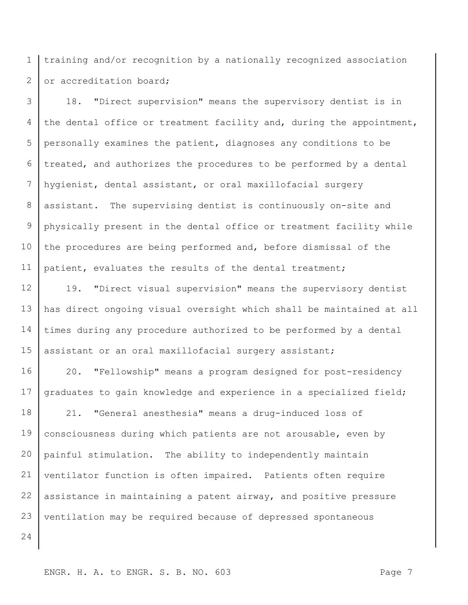1 2 training and/or recognition by a nationally recognized association or accreditation board;

3 4 5 6 7 8 9 10 11 18. "Direct supervision" means the supervisory dentist is in the dental office or treatment facility and, during the appointment, personally examines the patient, diagnoses any conditions to be treated, and authorizes the procedures to be performed by a dental hygienist, dental assistant, or oral maxillofacial surgery assistant. The supervising dentist is continuously on-site and physically present in the dental office or treatment facility while the procedures are being performed and, before dismissal of the patient, evaluates the results of the dental treatment;

12 13 14 15 19. "Direct visual supervision" means the supervisory dentist has direct ongoing visual oversight which shall be maintained at all times during any procedure authorized to be performed by a dental assistant or an oral maxillofacial surgery assistant;

16 17 20. "Fellowship" means a program designed for post-residency graduates to gain knowledge and experience in a specialized field;

18 19 20 21 22 23 21. "General anesthesia" means a drug-induced loss of consciousness during which patients are not arousable, even by painful stimulation. The ability to independently maintain ventilator function is often impaired. Patients often require assistance in maintaining a patent airway, and positive pressure ventilation may be required because of depressed spontaneous

24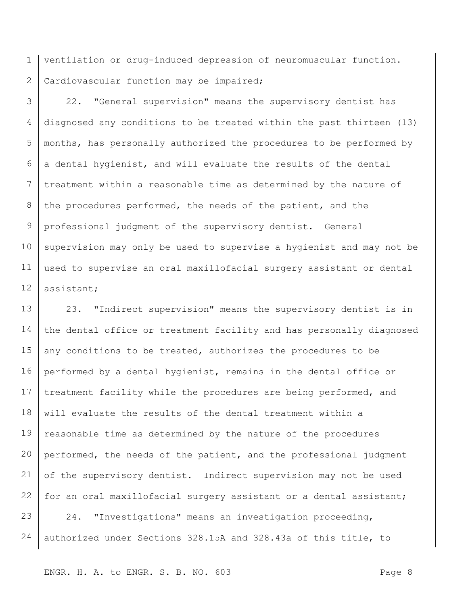1 2 ventilation or drug-induced depression of neuromuscular function. Cardiovascular function may be impaired;

3 4 5 6 7 8 9 10 11 12 22. "General supervision" means the supervisory dentist has diagnosed any conditions to be treated within the past thirteen (13) months, has personally authorized the procedures to be performed by a dental hygienist, and will evaluate the results of the dental treatment within a reasonable time as determined by the nature of the procedures performed, the needs of the patient, and the professional judgment of the supervisory dentist. General supervision may only be used to supervise a hygienist and may not be used to supervise an oral maxillofacial surgery assistant or dental assistant;

13 14 15 16 17 18 19 20 21 22 23 24 23. "Indirect supervision" means the supervisory dentist is in the dental office or treatment facility and has personally diagnosed any conditions to be treated, authorizes the procedures to be performed by a dental hygienist, remains in the dental office or treatment facility while the procedures are being performed, and will evaluate the results of the dental treatment within a reasonable time as determined by the nature of the procedures performed, the needs of the patient, and the professional judgment of the supervisory dentist. Indirect supervision may not be used for an oral maxillofacial surgery assistant or a dental assistant; 24. "Investigations" means an investigation proceeding, authorized under Sections 328.15A and 328.43a of this title, to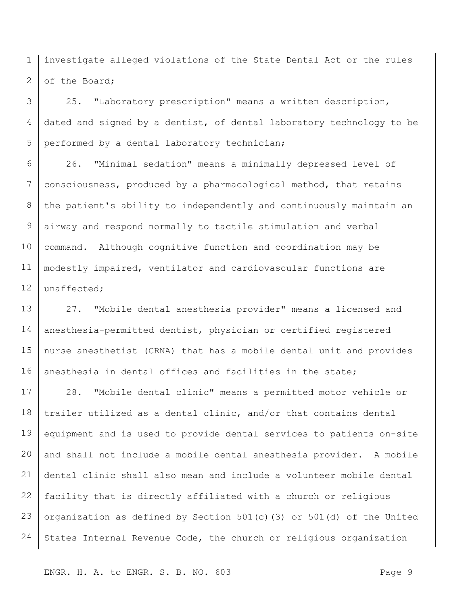1 2 investigate alleged violations of the State Dental Act or the rules of the Board;

3 4 5 25. "Laboratory prescription" means a written description, dated and signed by a dentist, of dental laboratory technology to be performed by a dental laboratory technician;

6 7 8 9 10 11 12 26. "Minimal sedation" means a minimally depressed level of consciousness, produced by a pharmacological method, that retains the patient's ability to independently and continuously maintain an airway and respond normally to tactile stimulation and verbal command. Although cognitive function and coordination may be modestly impaired, ventilator and cardiovascular functions are unaffected;

13 14 15 16 27. "Mobile dental anesthesia provider" means a licensed and anesthesia-permitted dentist, physician or certified registered nurse anesthetist (CRNA) that has a mobile dental unit and provides anesthesia in dental offices and facilities in the state;

17 18 19 20 21 22 23 24 28. "Mobile dental clinic" means a permitted motor vehicle or trailer utilized as a dental clinic, and/or that contains dental equipment and is used to provide dental services to patients on-site and shall not include a mobile dental anesthesia provider. A mobile dental clinic shall also mean and include a volunteer mobile dental facility that is directly affiliated with a church or religious organization as defined by Section 501(c)(3) or 501(d) of the United States Internal Revenue Code, the church or religious organization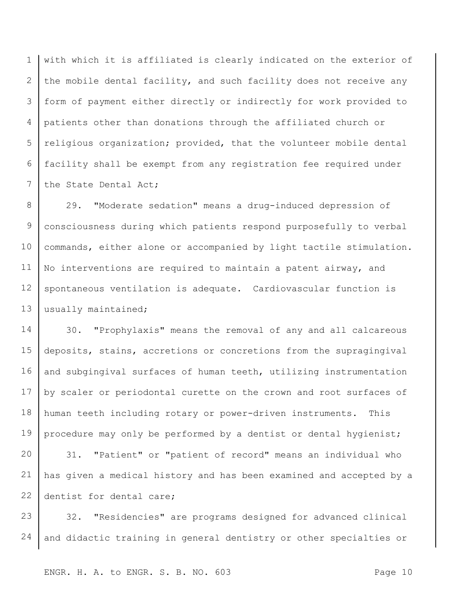1 2 3 4 5 6 7 with which it is affiliated is clearly indicated on the exterior of the mobile dental facility, and such facility does not receive any form of payment either directly or indirectly for work provided to patients other than donations through the affiliated church or religious organization; provided, that the volunteer mobile dental facility shall be exempt from any registration fee required under the State Dental Act;

8 9 10 11 12 13 29. "Moderate sedation" means a drug-induced depression of consciousness during which patients respond purposefully to verbal commands, either alone or accompanied by light tactile stimulation. No interventions are required to maintain a patent airway, and spontaneous ventilation is adequate. Cardiovascular function is usually maintained;

14 15 16 17 18 19 30. "Prophylaxis" means the removal of any and all calcareous deposits, stains, accretions or concretions from the supragingival and subgingival surfaces of human teeth, utilizing instrumentation by scaler or periodontal curette on the crown and root surfaces of human teeth including rotary or power-driven instruments. This procedure may only be performed by a dentist or dental hygienist;

20 21 22 31. "Patient" or "patient of record" means an individual who has given a medical history and has been examined and accepted by a dentist for dental care;

23 24 32. "Residencies" are programs designed for advanced clinical and didactic training in general dentistry or other specialties or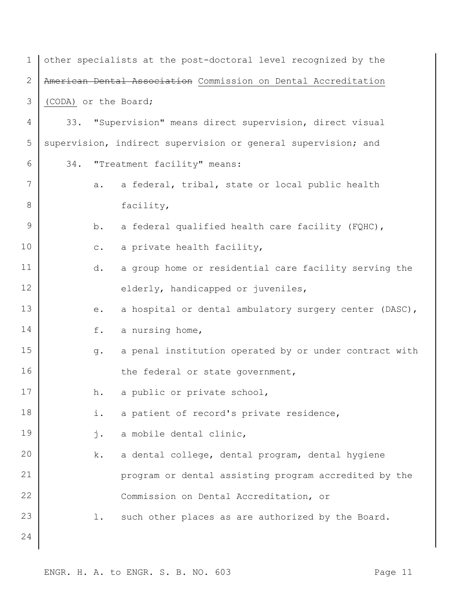| $\mathbf{1}$   | other specialists at the post-doctoral level recognized by the |
|----------------|----------------------------------------------------------------|
| $\overline{2}$ | American Dental Association Commission on Dental Accreditation |
| 3              | (CODA) or the Board;                                           |
| 4              | "Supervision" means direct supervision, direct visual<br>33.   |
| 5              | supervision, indirect supervision or general supervision; and  |
| 6              | "Treatment facility" means:<br>34.                             |
| 7              | a federal, tribal, state or local public health<br>a.          |
| 8              | facility,                                                      |
| $\mathsf 9$    | a federal qualified health care facility (FQHC),<br>b.         |
| 10             | a private health facility,<br>$\mathtt{C}$ .                   |
| 11             | a group home or residential care facility serving the<br>d.    |
| 12             | elderly, handicapped or juveniles,                             |
| 13             | a hospital or dental ambulatory surgery center (DASC),<br>e.   |
| 14             | f.<br>a nursing home,                                          |
| 15             | a penal institution operated by or under contract with<br>g.   |
| 16             | the federal or state government,                               |
| 17             | a public or private school,<br>h.                              |
| 18             | i.<br>a patient of record's private residence,                 |
| 19             | a mobile dental clinic,<br>j.                                  |
| 20             | a dental college, dental program, dental hygiene<br>k.         |
| 21             | program or dental assisting program accredited by the          |
| 22             | Commission on Dental Accreditation, or                         |
| 23             | such other places as are authorized by the Board.<br>$1$ .     |
| 24             |                                                                |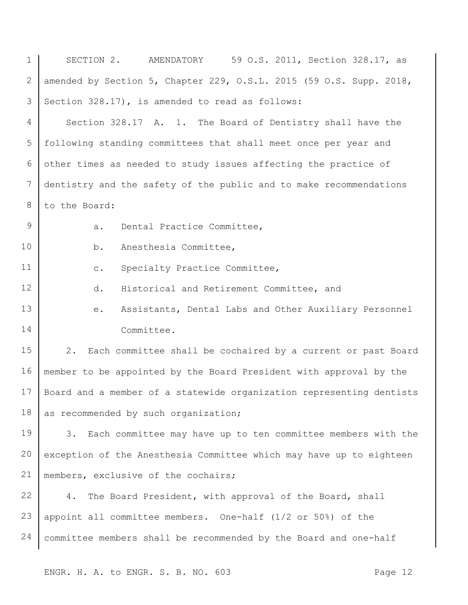| $\mathbf 1$ | 59 O.S. 2011, Section 328.17, as<br>SECTION 2. AMENDATORY            |
|-------------|----------------------------------------------------------------------|
| 2           | amended by Section 5, Chapter 229, O.S.L. 2015 (59 O.S. Supp. 2018,  |
| 3           | Section 328.17), is amended to read as follows:                      |
| 4           | Section 328.17 A. 1. The Board of Dentistry shall have the           |
| 5           | following standing committees that shall meet once per year and      |
| 6           | other times as needed to study issues affecting the practice of      |
| 7           | dentistry and the safety of the public and to make recommendations   |
| 8           | to the Board:                                                        |
| $\mathsf 9$ | Dental Practice Committee,<br>a.                                     |
| 10          | Anesthesia Committee,<br>b.                                          |
| 11          | Specialty Practice Committee,<br>$\mathtt{C}$ .                      |
| 12          | d.<br>Historical and Retirement Committee, and                       |
| 13          | Assistants, Dental Labs and Other Auxiliary Personnel<br>е.          |
| 14          | Committee.                                                           |
| 15          | Each committee shall be cochaired by a current or past Board<br>2.   |
| 16          | member to be appointed by the Board President with approval by the   |
| 17          | Board and a member of a statewide organization representing dentists |
| 18          | as recommended by such organization;                                 |
| 19          | Each committee may have up to ten committee members with the<br>3.   |
| 20          | exception of the Anesthesia Committee which may have up to eighteen  |
| 21          | members, exclusive of the cochairs;                                  |
| 22          | The Board President, with approval of the Board, shall<br>4.         |
| 23          | appoint all committee members. One-half (1/2 or 50%) of the          |
| 24          | committee members shall be recommended by the Board and one-half     |
|             |                                                                      |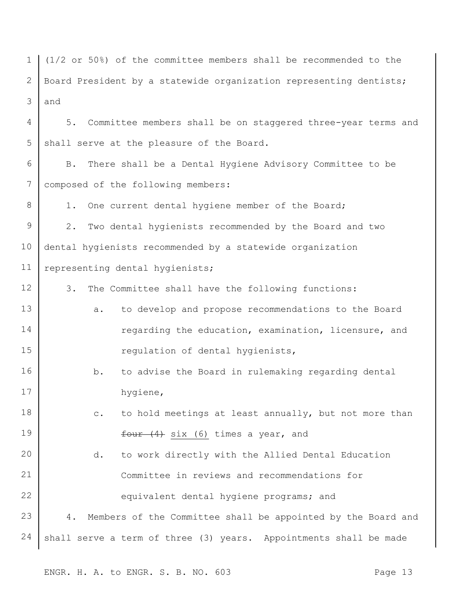1 2 3 (1/2 or 50%) of the committee members shall be recommended to the Board President by a statewide organization representing dentists; and

4 5 5. Committee members shall be on staggered three-year terms and shall serve at the pleasure of the Board.

6 7 B. There shall be a Dental Hygiene Advisory Committee to be composed of the following members:

1. One current dental hygiene member of the Board;

8

9 10 11 2. Two dental hygienists recommended by the Board and two dental hygienists recommended by a statewide organization representing dental hygienists;

12 3. The Committee shall have the following functions:

- 13 14 15 a. to develop and propose recommendations to the Board regarding the education, examination, licensure, and regulation of dental hygienists,
- 16 17 b. to advise the Board in rulemaking regarding dental hygiene,
- 18 19 c. to hold meetings at least annually, but not more than  $four (4) six (6) times a year, and$

20 21 22 23 24 d. to work directly with the Allied Dental Education Committee in reviews and recommendations for equivalent dental hygiene programs; and 4. Members of the Committee shall be appointed by the Board and shall serve a term of three (3) years. Appointments shall be made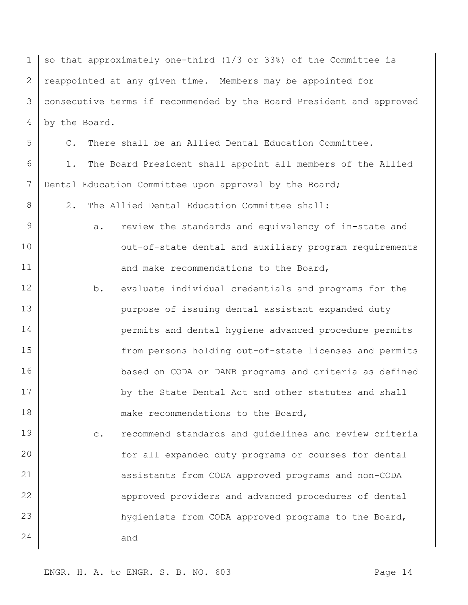| $\mathbf 1$ | so that approximately one-third (1/3 or 33%) of the Committee is         |
|-------------|--------------------------------------------------------------------------|
| 2           | reappointed at any given time. Members may be appointed for              |
| 3           | consecutive terms if recommended by the Board President and approved     |
| 4           | by the Board.                                                            |
| 5           | C. There shall be an Allied Dental Education Committee.                  |
| 6           | The Board President shall appoint all members of the Allied<br>1.        |
| 7           | Dental Education Committee upon approval by the Board;                   |
| 8           | The Allied Dental Education Committee shall:<br>2.                       |
| $\mathsf 9$ | review the standards and equivalency of in-state and<br>а.               |
| 10          | out-of-state dental and auxiliary program requirements                   |
| 11          | and make recommendations to the Board,                                   |
| 12          | evaluate individual credentials and programs for the<br>b.               |
| 13          | purpose of issuing dental assistant expanded duty                        |
| 14          | permits and dental hygiene advanced procedure permits                    |
| 15          | from persons holding out-of-state licenses and permits                   |
| 16          | based on CODA or DANB programs and criteria as defined                   |
| 17          | by the State Dental Act and other statutes and shall                     |
| 18          | make recommendations to the Board,                                       |
| 19          | recommend standards and guidelines and review criteria<br>$\mathtt{C}$ . |
| 20          | for all expanded duty programs or courses for dental                     |
| 21          | assistants from CODA approved programs and non-CODA                      |
| 22          | approved providers and advanced procedures of dental                     |
| 23          | hygienists from CODA approved programs to the Board,                     |
| 24          | and                                                                      |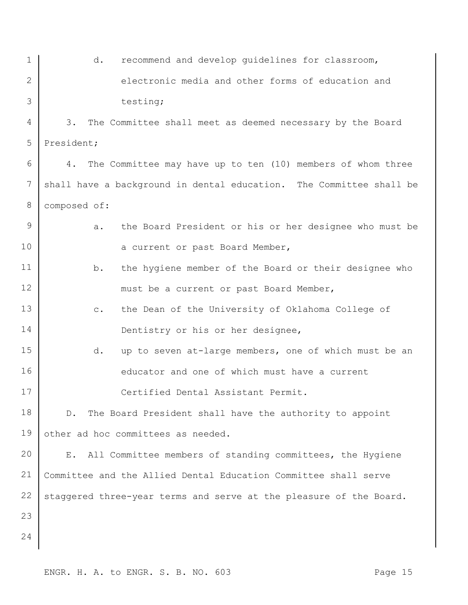| $\mathbf 1$ | d.<br>recommend and develop guidelines for classroom,                    |
|-------------|--------------------------------------------------------------------------|
| 2           | electronic media and other forms of education and                        |
| 3           | testing;                                                                 |
| 4           | 3.<br>The Committee shall meet as deemed necessary by the Board          |
| 5           | President;                                                               |
| 6           | The Committee may have up to ten (10) members of whom three<br>4.        |
| 7           | shall have a background in dental education. The Committee shall be      |
| 8           | composed of:                                                             |
| 9           | the Board President or his or her designee who must be<br>$a$ .          |
| 10          | a current or past Board Member,                                          |
| 11          | the hygiene member of the Board or their designee who<br>b.              |
| 12          | must be a current or past Board Member,                                  |
| 13          | the Dean of the University of Oklahoma College of<br>$\mathtt{C}$ .      |
| 14          | Dentistry or his or her designee,                                        |
| 15          | up to seven at-large members, one of which must be an<br>d.              |
| 16          | educator and one of which must have a current                            |
| 17          | Certified Dental Assistant Permit.                                       |
| 18          | The Board President shall have the authority to appoint<br>$D$ .         |
| 19          | other ad hoc committees as needed.                                       |
| 20          | All Committee members of standing committees, the Hygiene<br>$E_{\star}$ |
| 21          | Committee and the Allied Dental Education Committee shall serve          |
| 22          | staggered three-year terms and serve at the pleasure of the Board.       |
| 23          |                                                                          |
| 24          |                                                                          |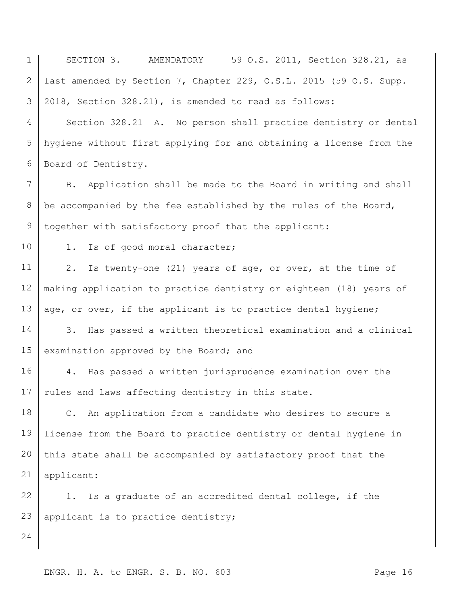ENGR. H. A. to ENGR. S. B. NO. 603 3 4 5 6 7 8 9 10 11 12 13 14 15 16 17 18 19 20 21 22 23 24 2018, Section 328.21), is amended to read as follows: Section 328.21 A. No person shall practice dentistry or dental hygiene without first applying for and obtaining a license from the Board of Dentistry. B. Application shall be made to the Board in writing and shall be accompanied by the fee established by the rules of the Board, together with satisfactory proof that the applicant: 1. Is of good moral character; 2. Is twenty-one (21) years of age, or over, at the time of making application to practice dentistry or eighteen (18) years of age, or over, if the applicant is to practice dental hygiene; 3. Has passed a written theoretical examination and a clinical examination approved by the Board; and 4. Has passed a written jurisprudence examination over the rules and laws affecting dentistry in this state. C. An application from a candidate who desires to secure a license from the Board to practice dentistry or dental hygiene in this state shall be accompanied by satisfactory proof that the applicant: 1. Is a graduate of an accredited dental college, if the applicant is to practice dentistry;

SECTION 3. AMENDATORY 59 O.S. 2011, Section 328.21, as

last amended by Section 7, Chapter 229, O.S.L. 2015 (59 O.S. Supp.

1

2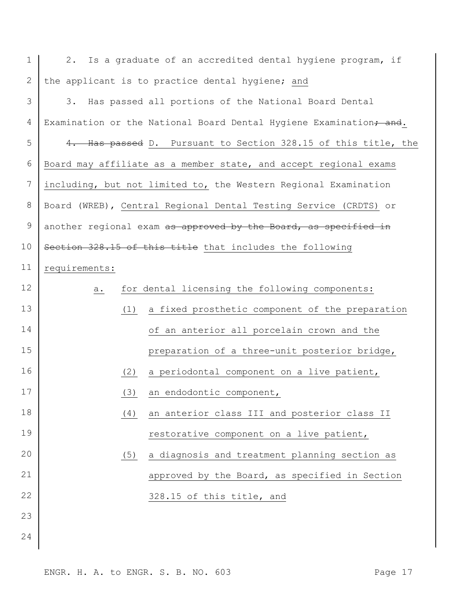| $\mathbf 1$ | 2.            | Is a graduate of an accredited dental hygiene program, if          |
|-------------|---------------|--------------------------------------------------------------------|
| 2           |               | the applicant is to practice dental hygiene; and                   |
| 3           | 3.            | Has passed all portions of the National Board Dental               |
| 4           |               | Examination or the National Board Dental Hygiene Examination, and. |
| 5           |               | 4. Has passed D. Pursuant to Section 328.15 of this title, the     |
| 6           |               | Board may affiliate as a member state, and accept regional exams   |
| 7           |               | including, but not limited to, the Western Regional Examination    |
| 8           |               | Board (WREB), Central Regional Dental Testing Service (CRDTS) or   |
| 9           |               | another regional exam as approved by the Board, as specified in    |
| 10          |               | Section 328.15 of this title that includes the following           |
| 11          | requirements: |                                                                    |
| 12          | а.            | for dental licensing the following components:                     |
| 13          | (1)           | a fixed prosthetic component of the preparation                    |
| 14          |               | of an anterior all porcelain crown and the                         |
| 15          |               | preparation of a three-unit posterior bridge,                      |
| 16          | (2)           | a periodontal component on a live patient,                         |
| 17          |               | (3) an endodontic component,                                       |
| 18          | (4)           | an anterior class III and posterior class II                       |
| 19          |               | restorative component on a live patient,                           |
| 20          | (5)           | a diagnosis and treatment planning section as                      |
| 21          |               | approved by the Board, as specified in Section                     |
| 22          |               | 328.15 of this title, and                                          |
| 23          |               |                                                                    |
| 24          |               |                                                                    |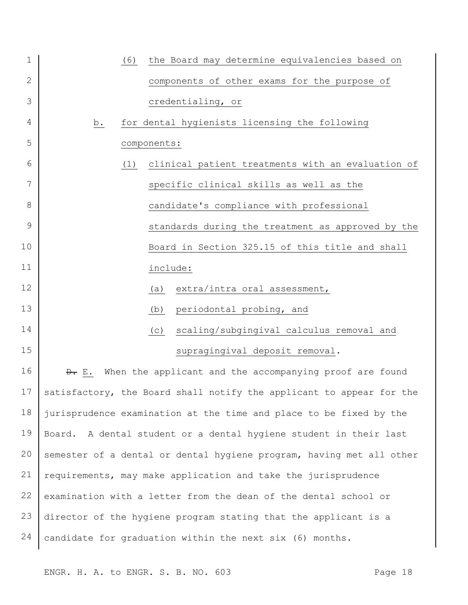| $\mathbf 1$  | the Board may determine equivalencies based on<br>(6)                |
|--------------|----------------------------------------------------------------------|
| $\mathbf{2}$ | components of other exams for the purpose of                         |
| 3            | credentialing, or                                                    |
| 4            | for dental hygienists licensing the following<br><u>b.</u>           |
| 5            | components:                                                          |
| 6            | clinical patient treatments with an evaluation of<br>(1)             |
| 7            | specific clinical skills as well as the                              |
| 8            | candidate's compliance with professional                             |
| 9            | standards during the treatment as approved by the                    |
| 10           | Board in Section 325.15 of this title and shall                      |
| 11           | include:                                                             |
| 12           | extra/intra oral assessment,<br>(a)                                  |
| 13           | periodontal probing, and<br>(b)                                      |
| 14           | scaling/subgingival calculus removal and<br>(C)                      |
| 15           | supragingival deposit removal.                                       |
| 16           | D. E. When the applicant and the accompanying proof are found        |
| 17           | satisfactory, the Board shall notify the applicant to appear for the |
| 18           | jurisprudence examination at the time and place to be fixed by the   |
| 19           | Board. A dental student or a dental hygiene student in their last    |
| 20           | semester of a dental or dental hygiene program, having met all other |
| 21           | requirements, may make application and take the jurisprudence        |
| 22           | examination with a letter from the dean of the dental school or      |
| 23           | director of the hygiene program stating that the applicant is a      |
| 24           | candidate for graduation within the next six (6) months.             |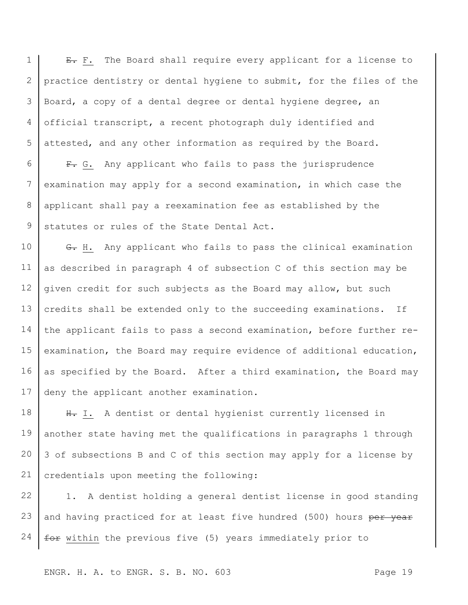1 2 3 4 5 E. F. The Board shall require every applicant for a license to practice dentistry or dental hygiene to submit, for the files of the Board, a copy of a dental degree or dental hygiene degree, an official transcript, a recent photograph duly identified and attested, and any other information as required by the Board.

6 7 8 9 F. G. Any applicant who fails to pass the jurisprudence examination may apply for a second examination, in which case the applicant shall pay a reexamination fee as established by the statutes or rules of the State Dental Act.

10 11 12 13 14 15 16 17 G. H. Any applicant who fails to pass the clinical examination as described in paragraph 4 of subsection C of this section may be given credit for such subjects as the Board may allow, but such credits shall be extended only to the succeeding examinations. If the applicant fails to pass a second examination, before further reexamination, the Board may require evidence of additional education, as specified by the Board. After a third examination, the Board may deny the applicant another examination.

18 19 20 21 H. I. A dentist or dental hygienist currently licensed in another state having met the qualifications in paragraphs 1 through 3 of subsections B and C of this section may apply for a license by credentials upon meeting the following:

22 23 24 1. A dentist holding a general dentist license in good standing and having practiced for at least five hundred (500) hours per year for within the previous five (5) years immediately prior to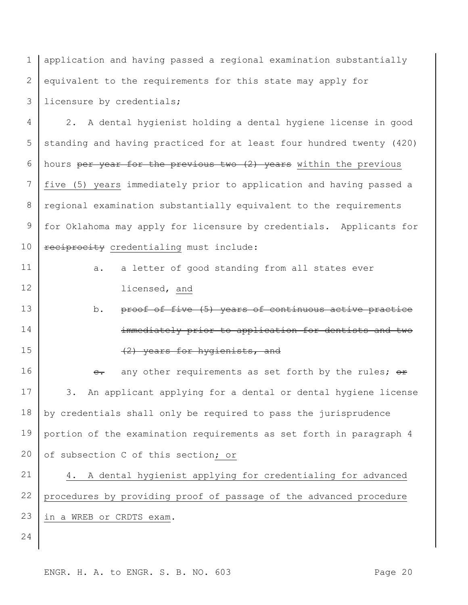1 2 3 application and having passed a regional examination substantially equivalent to the requirements for this state may apply for licensure by credentials;

4 5 6 7 8 9 10 2. A dental hygienist holding a dental hygiene license in good standing and having practiced for at least four hundred twenty (420) hours per year for the previous two (2) years within the previous five (5) years immediately prior to application and having passed a regional examination substantially equivalent to the requirements for Oklahoma may apply for licensure by credentials. Applicants for reciprocity credentialing must include:

11

12

- a. a letter of good standing from all states ever licensed, and
- 13 14 15 b. proof of five (5) years of continuous active practice immediately prior to application for dentists and two (2) years for hygienists, and

16 17 18 19 20 e. any other requirements as set forth by the rules;  $\Theta$ re 3. An applicant applying for a dental or dental hygiene license by credentials shall only be required to pass the jurisprudence portion of the examination requirements as set forth in paragraph 4 of subsection C of this section; or

21 22 23 4. A dental hygienist applying for credentialing for advanced procedures by providing proof of passage of the advanced procedure in a WREB or CRDTS exam.

24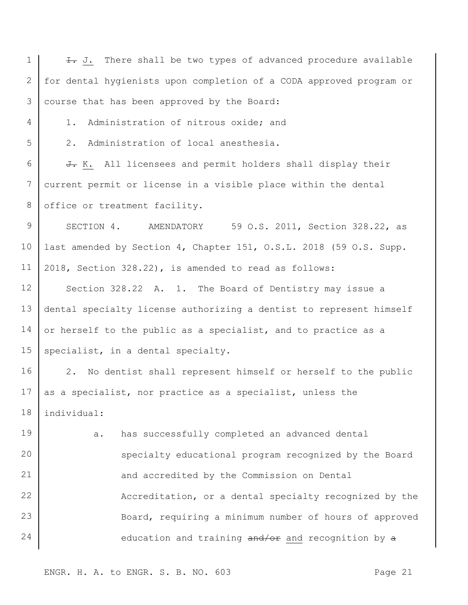1 2 3 4 5 6 7 8 9 10 11 12 13 14 15 16 17 18 19 20 21 22 23 24 I. J. There shall be two types of advanced procedure available for dental hygienists upon completion of a CODA approved program or course that has been approved by the Board: 1. Administration of nitrous oxide; and 2. Administration of local anesthesia. J. K. All licensees and permit holders shall display their current permit or license in a visible place within the dental office or treatment facility. SECTION 4. AMENDATORY 59 O.S. 2011, Section 328.22, as last amended by Section 4, Chapter 151, O.S.L. 2018 (59 O.S. Supp. 2018, Section 328.22), is amended to read as follows: Section 328.22 A. 1. The Board of Dentistry may issue a dental specialty license authorizing a dentist to represent himself or herself to the public as a specialist, and to practice as a specialist, in a dental specialty. 2. No dentist shall represent himself or herself to the public as a specialist, nor practice as a specialist, unless the individual: a. has successfully completed an advanced dental specialty educational program recognized by the Board and accredited by the Commission on Dental Accreditation, or a dental specialty recognized by the Board, requiring a minimum number of hours of approved education and training and/or and recognition by a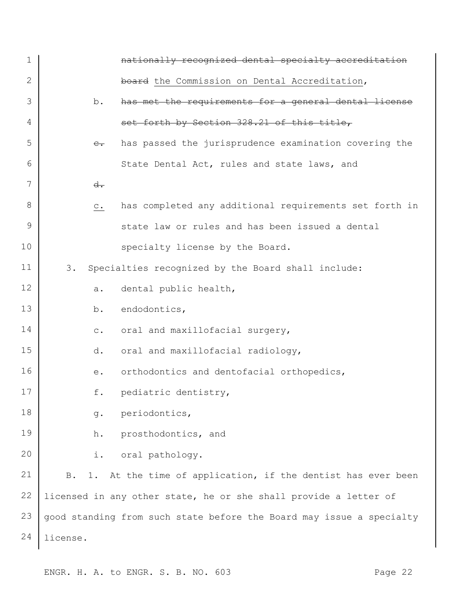| 1  |                | nationally recognized dental specialty accreditation                 |
|----|----------------|----------------------------------------------------------------------|
| 2  |                | board the Commission on Dental Accreditation,                        |
| 3  | b.             | has met the requirements for a general dental license                |
| 4  |                | set forth by Section 328.21 of this title,                           |
| 5  | $e_{\bullet}$  | has passed the jurisprudence examination covering the                |
| 6  |                | State Dental Act, rules and state laws, and                          |
| 7  | $d$ .          |                                                                      |
| 8  | $\mathtt{C}$ . | has completed any additional requirements set forth in               |
| 9  |                | state law or rules and has been issued a dental                      |
| 10 |                | specialty license by the Board.                                      |
| 11 | 3.             | Specialties recognized by the Board shall include:                   |
| 12 | а.             | dental public health,                                                |
| 13 | b.             | endodontics,                                                         |
| 14 | $\mathbb{C}$ . | oral and maxillofacial surgery,                                      |
| 15 | d.             | oral and maxillofacial radiology,                                    |
| 16 | $e$ .          | orthodontics and dentofacial orthopedics,                            |
| 17 |                | f. pediatric dentistry,                                              |
| 18 | g.             | periodontics,                                                        |
| 19 | h.             | prosthodontics, and                                                  |
| 20 | i.             | oral pathology.                                                      |
| 21 | B.             | 1. At the time of application, if the dentist has ever been          |
| 22 |                | licensed in any other state, he or she shall provide a letter of     |
| 23 |                | good standing from such state before the Board may issue a specialty |
| 24 | license.       |                                                                      |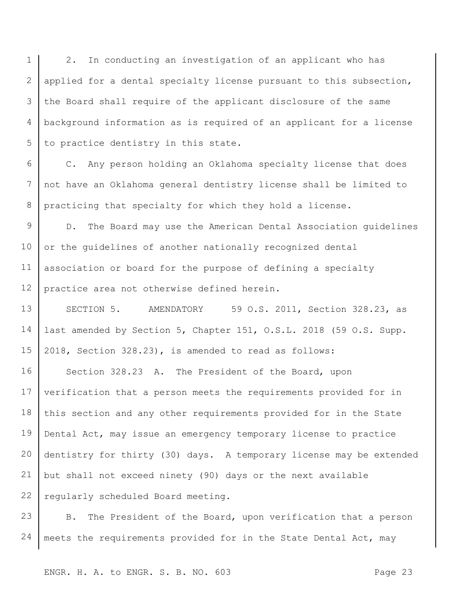1 2 3 4 5 2. In conducting an investigation of an applicant who has applied for a dental specialty license pursuant to this subsection, the Board shall require of the applicant disclosure of the same background information as is required of an applicant for a license to practice dentistry in this state.

6 7 8 C. Any person holding an Oklahoma specialty license that does not have an Oklahoma general dentistry license shall be limited to practicing that specialty for which they hold a license.

9 10 11 12 D. The Board may use the American Dental Association guidelines or the guidelines of another nationally recognized dental association or board for the purpose of defining a specialty practice area not otherwise defined herein.

13 14 15 SECTION 5. AMENDATORY 59 O.S. 2011, Section 328.23, as last amended by Section 5, Chapter 151, O.S.L. 2018 (59 O.S. Supp. 2018, Section 328.23), is amended to read as follows:

16 17 18 19 20 21 22 Section 328.23 A. The President of the Board, upon verification that a person meets the requirements provided for in this section and any other requirements provided for in the State Dental Act, may issue an emergency temporary license to practice dentistry for thirty (30) days. A temporary license may be extended but shall not exceed ninety (90) days or the next available regularly scheduled Board meeting.

23 24 B. The President of the Board, upon verification that a person meets the requirements provided for in the State Dental Act, may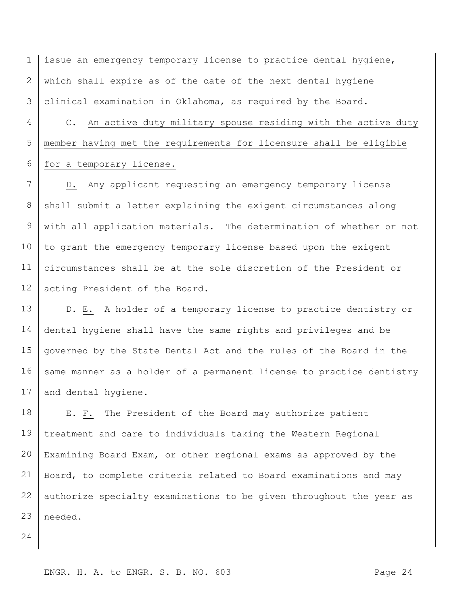1 2 3 issue an emergency temporary license to practice dental hygiene, which shall expire as of the date of the next dental hygiene clinical examination in Oklahoma, as required by the Board.

4 5 6 C. An active duty military spouse residing with the active duty member having met the requirements for licensure shall be eligible for a temporary license.

7 8 9 10 11 12 D. Any applicant requesting an emergency temporary license shall submit a letter explaining the exigent circumstances along with all application materials. The determination of whether or not to grant the emergency temporary license based upon the exigent circumstances shall be at the sole discretion of the President or acting President of the Board.

13 14 15 16 17  $\theta$ . E. A holder of a temporary license to practice dentistry or dental hygiene shall have the same rights and privileges and be governed by the State Dental Act and the rules of the Board in the same manner as a holder of a permanent license to practice dentistry and dental hygiene.

18 19 20 21 22 23 E. F. The President of the Board may authorize patient treatment and care to individuals taking the Western Regional Examining Board Exam, or other regional exams as approved by the Board, to complete criteria related to Board examinations and may authorize specialty examinations to be given throughout the year as needed.

24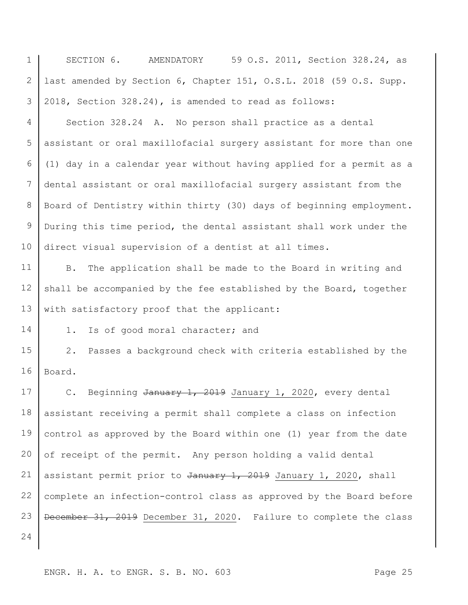| $\mathbf 1$ | SECTION 6.<br>59 O.S. 2011, Section 328.24, as<br>AMENDATORY             |
|-------------|--------------------------------------------------------------------------|
| 2           | last amended by Section 6, Chapter 151, O.S.L. 2018 (59 O.S. Supp.       |
| 3           | 2018, Section 328.24), is amended to read as follows:                    |
| 4           | Section 328.24 A. No person shall practice as a dental                   |
| 5           | assistant or oral maxillofacial surgery assistant for more than one      |
| 6           | (1) day in a calendar year without having applied for a permit as a      |
| 7           | dental assistant or oral maxillofacial surgery assistant from the        |
| 8           | Board of Dentistry within thirty (30) days of beginning employment.      |
| 9           | During this time period, the dental assistant shall work under the       |
| 10          | direct visual supervision of a dentist at all times.                     |
| 11          | The application shall be made to the Board in writing and<br><b>B.</b>   |
| 12          | shall be accompanied by the fee established by the Board, together       |
| 13          | with satisfactory proof that the applicant:                              |
| 14          | Is of good moral character; and<br>1.                                    |
| 15          | $2$ .<br>Passes a background check with criteria established by the      |
| 16          | Board.                                                                   |
| 17          | Beginning January 1, 2019 January 1, 2020, every dental<br>$\mathbb C$ . |
| 18          | assistant receiving a permit shall complete a class on infection         |
| 19          | control as approved by the Board within one (1) year from the date       |
| 20          | of receipt of the permit. Any person holding a valid dental              |
| 21          | assistant permit prior to January 1, 2019 January 1, 2020, shall         |
| 22          | complete an infection-control class as approved by the Board before      |
| 23          | December 31, 2019 December 31, 2020. Failure to complete the class       |
| 24          |                                                                          |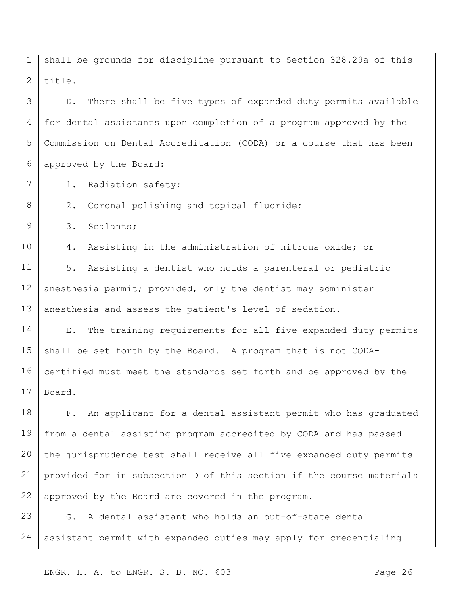1 2 shall be grounds for discipline pursuant to Section 328.29a of this title.

3 4 5 6 D. There shall be five types of expanded duty permits available for dental assistants upon completion of a program approved by the Commission on Dental Accreditation (CODA) or a course that has been approved by the Board:

1. Radiation safety;

2. Coronal polishing and topical fluoride;

9 3. Sealants;

7

8

10 4. Assisting in the administration of nitrous oxide; or

11 12 13 5. Assisting a dentist who holds a parenteral or pediatric anesthesia permit; provided, only the dentist may administer anesthesia and assess the patient's level of sedation.

14 15 16 17 E. The training requirements for all five expanded duty permits shall be set forth by the Board. A program that is not CODAcertified must meet the standards set forth and be approved by the Board.

18 19 20 21 22 F. An applicant for a dental assistant permit who has graduated from a dental assisting program accredited by CODA and has passed the jurisprudence test shall receive all five expanded duty permits provided for in subsection D of this section if the course materials approved by the Board are covered in the program.

23 24 G. A dental assistant who holds an out-of-state dental assistant permit with expanded duties may apply for credentialing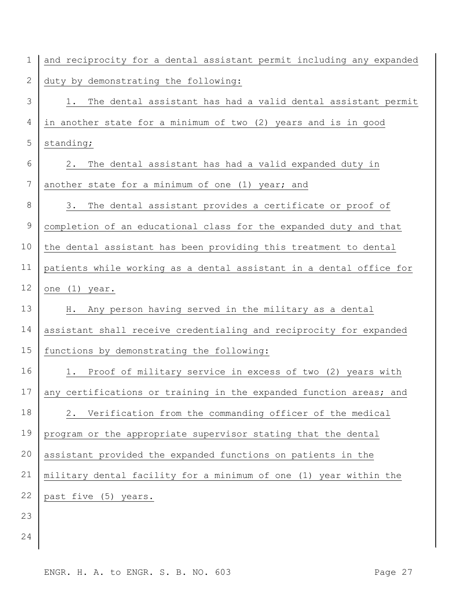| 1             | and reciprocity for a dental assistant permit including any expanded |
|---------------|----------------------------------------------------------------------|
| 2             | duty by demonstrating the following:                                 |
| 3             | The dental assistant has had a valid dental assistant permit<br>1.   |
| 4             | in another state for a minimum of two (2) years and is in good       |
| 5             | standing;                                                            |
| 6             | The dental assistant has had a valid expanded duty in<br>2.          |
| 7             | another state for a minimum of one (1) year; and                     |
| 8             | The dental assistant provides a certificate or proof of<br>3.        |
| $\mathcal{G}$ | completion of an educational class for the expanded duty and that    |
| 10            | the dental assistant has been providing this treatment to dental     |
| 11            | patients while working as a dental assistant in a dental office for  |
| 12            | one (1) year.                                                        |
| 13            | Any person having served in the military as a dental<br>Η.           |
| 14            | assistant shall receive credentialing and reciprocity for expanded   |
| 15            | functions by demonstrating the following:                            |
| 16            | Proof of military service in excess of two (2) years with<br>1.      |
| 17            | any certifications or training in the expanded function areas; and   |
| 18            | Verification from the commanding officer of the medical<br>2.        |
| 19            | program or the appropriate supervisor stating that the dental        |
| 20            | assistant provided the expanded functions on patients in the         |
| 21            | military dental facility for a minimum of one (1) year within the    |
| 22            | past five (5) years.                                                 |
| 23            |                                                                      |
| 24            |                                                                      |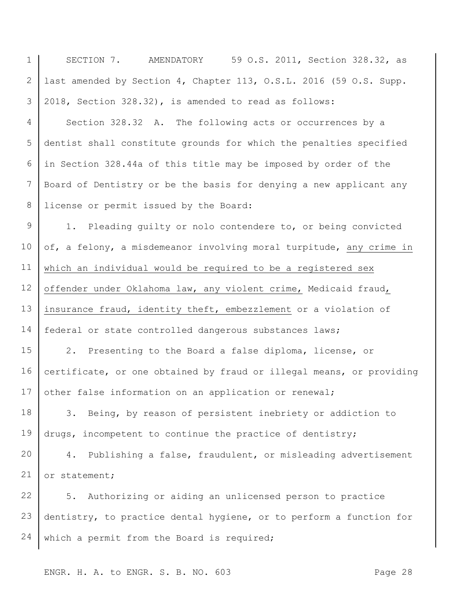1 2 3 4 5 6 7 8 9 10 11 12 13 14 15 16 17 18 19 20 21 22 23 24 SECTION 7. AMENDATORY 59 O.S. 2011, Section 328.32, as last amended by Section 4, Chapter 113, O.S.L. 2016 (59 O.S. Supp. 2018, Section 328.32), is amended to read as follows: Section 328.32 A. The following acts or occurrences by a dentist shall constitute grounds for which the penalties specified in Section 328.44a of this title may be imposed by order of the Board of Dentistry or be the basis for denying a new applicant any license or permit issued by the Board: 1. Pleading guilty or nolo contendere to, or being convicted of, a felony, a misdemeanor involving moral turpitude, any crime in which an individual would be required to be a registered sex offender under Oklahoma law, any violent crime, Medicaid fraud, insurance fraud, identity theft, embezzlement or a violation of federal or state controlled dangerous substances laws; 2. Presenting to the Board a false diploma, license, or certificate, or one obtained by fraud or illegal means, or providing other false information on an application or renewal; 3. Being, by reason of persistent inebriety or addiction to drugs, incompetent to continue the practice of dentistry; 4. Publishing a false, fraudulent, or misleading advertisement or statement; 5. Authorizing or aiding an unlicensed person to practice dentistry, to practice dental hygiene, or to perform a function for which a permit from the Board is required;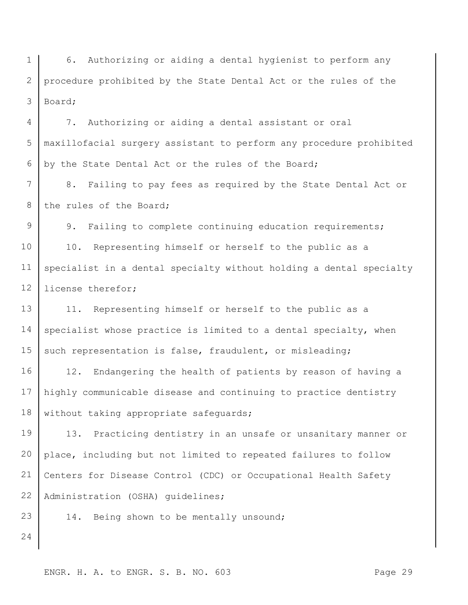1 2 3 6. Authorizing or aiding a dental hygienist to perform any procedure prohibited by the State Dental Act or the rules of the Board;

4 5 6 7. Authorizing or aiding a dental assistant or oral maxillofacial surgery assistant to perform any procedure prohibited by the State Dental Act or the rules of the Board;

7 8 8. Failing to pay fees as required by the State Dental Act or the rules of the Board;

9 10 11 12 9. Failing to complete continuing education requirements; 10. Representing himself or herself to the public as a specialist in a dental specialty without holding a dental specialty license therefor;

13 14 15 11. Representing himself or herself to the public as a specialist whose practice is limited to a dental specialty, when such representation is false, fraudulent, or misleading;

16 17 18 12. Endangering the health of patients by reason of having a highly communicable disease and continuing to practice dentistry without taking appropriate safeguards;

19 20 21 22 13. Practicing dentistry in an unsafe or unsanitary manner or place, including but not limited to repeated failures to follow Centers for Disease Control (CDC) or Occupational Health Safety Administration (OSHA) guidelines;

14. Being shown to be mentally unsound;

24

23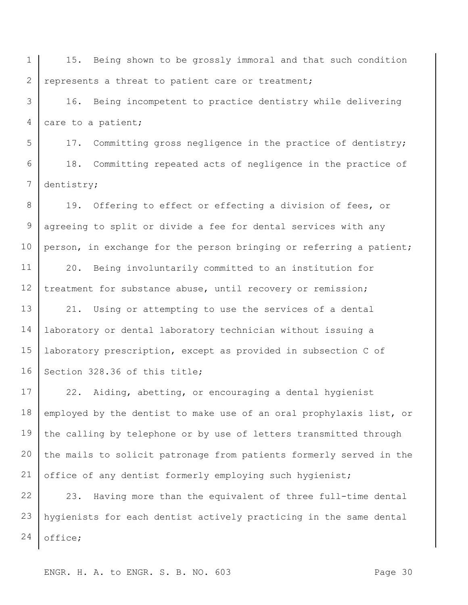1 2 15. Being shown to be grossly immoral and that such condition represents a threat to patient care or treatment;

3 4 16. Being incompetent to practice dentistry while delivering care to a patient;

5 6 7 17. Committing gross negligence in the practice of dentistry; 18. Committing repeated acts of negligence in the practice of dentistry;

8 9 10 19. Offering to effect or effecting a division of fees, or agreeing to split or divide a fee for dental services with any person, in exchange for the person bringing or referring a patient;

11 12 20. Being involuntarily committed to an institution for treatment for substance abuse, until recovery or remission;

13 14 15 16 21. Using or attempting to use the services of a dental laboratory or dental laboratory technician without issuing a laboratory prescription, except as provided in subsection C of Section 328.36 of this title;

17 18 19 20 21 22. Aiding, abetting, or encouraging a dental hygienist employed by the dentist to make use of an oral prophylaxis list, or the calling by telephone or by use of letters transmitted through the mails to solicit patronage from patients formerly served in the office of any dentist formerly employing such hygienist;

22 23 24 23. Having more than the equivalent of three full-time dental hygienists for each dentist actively practicing in the same dental office;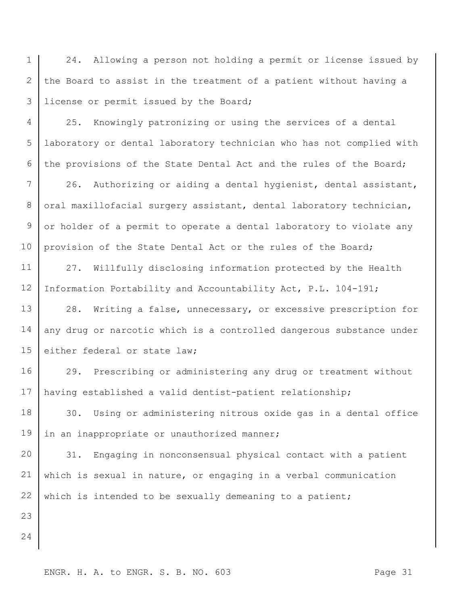1 2 3 24. Allowing a person not holding a permit or license issued by the Board to assist in the treatment of a patient without having a license or permit issued by the Board;

4 5 6 25. Knowingly patronizing or using the services of a dental laboratory or dental laboratory technician who has not complied with the provisions of the State Dental Act and the rules of the Board;

7 8 9 10 26. Authorizing or aiding a dental hygienist, dental assistant, oral maxillofacial surgery assistant, dental laboratory technician, or holder of a permit to operate a dental laboratory to violate any provision of the State Dental Act or the rules of the Board;

11 12 27. Willfully disclosing information protected by the Health Information Portability and Accountability Act, P.L. 104-191;

13 14 15 28. Writing a false, unnecessary, or excessive prescription for any drug or narcotic which is a controlled dangerous substance under either federal or state law;

16 17 29. Prescribing or administering any drug or treatment without having established a valid dentist-patient relationship;

18 19 30. Using or administering nitrous oxide gas in a dental office in an inappropriate or unauthorized manner;

20 21 22 31. Engaging in nonconsensual physical contact with a patient which is sexual in nature, or engaging in a verbal communication which is intended to be sexually demeaning to a patient;

24

23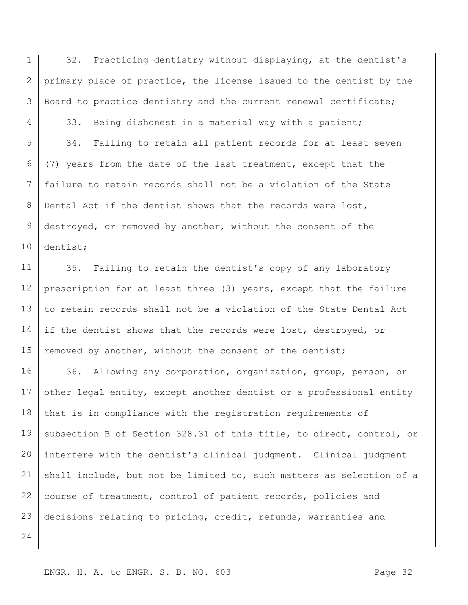1 2 3 32. Practicing dentistry without displaying, at the dentist's primary place of practice, the license issued to the dentist by the Board to practice dentistry and the current renewal certificate;

5 6 7 8 9 10 33. Being dishonest in a material way with a patient; 34. Failing to retain all patient records for at least seven (7) years from the date of the last treatment, except that the failure to retain records shall not be a violation of the State Dental Act if the dentist shows that the records were lost, destroyed, or removed by another, without the consent of the dentist;

11 12 13 14 15 35. Failing to retain the dentist's copy of any laboratory prescription for at least three (3) years, except that the failure to retain records shall not be a violation of the State Dental Act if the dentist shows that the records were lost, destroyed, or removed by another, without the consent of the dentist;

16 17 18 19 20 21 22 23 36. Allowing any corporation, organization, group, person, or other legal entity, except another dentist or a professional entity that is in compliance with the registration requirements of subsection B of Section 328.31 of this title, to direct, control, or interfere with the dentist's clinical judgment. Clinical judgment shall include, but not be limited to, such matters as selection of a course of treatment, control of patient records, policies and decisions relating to pricing, credit, refunds, warranties and

24

4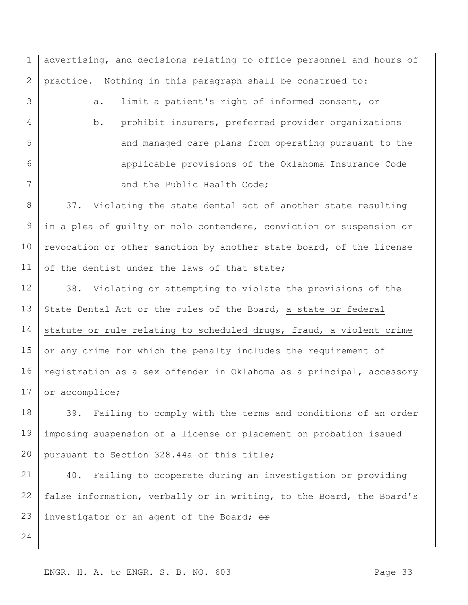1 2 3 4 5 6 7 8 9 10 11 12 13 14 15 16 17 18 19 20 21 22 23 advertising, and decisions relating to office personnel and hours of practice. Nothing in this paragraph shall be construed to: a. limit a patient's right of informed consent, or b. prohibit insurers, preferred provider organizations and managed care plans from operating pursuant to the applicable provisions of the Oklahoma Insurance Code and the Public Health Code; 37. Violating the state dental act of another state resulting in a plea of guilty or nolo contendere, conviction or suspension or revocation or other sanction by another state board, of the license of the dentist under the laws of that state; 38. Violating or attempting to violate the provisions of the State Dental Act or the rules of the Board, a state or federal statute or rule relating to scheduled drugs, fraud, a violent crime or any crime for which the penalty includes the requirement of registration as a sex offender in Oklahoma as a principal, accessory or accomplice; 39. Failing to comply with the terms and conditions of an order imposing suspension of a license or placement on probation issued pursuant to Section 328.44a of this title; 40. Failing to cooperate during an investigation or providing false information, verbally or in writing, to the Board, the Board's investigator or an agent of the Board;  $\theta$ r

ENGR. H. A. to ENGR. S. B. NO. 603

24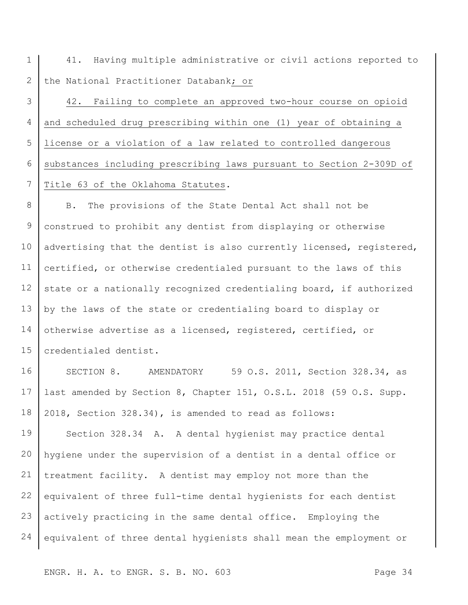1 2 41. Having multiple administrative or civil actions reported to the National Practitioner Databank; or

3 4 5 6 7 42. Failing to complete an approved two-hour course on opioid and scheduled drug prescribing within one (1) year of obtaining a license or a violation of a law related to controlled dangerous substances including prescribing laws pursuant to Section 2-309D of Title 63 of the Oklahoma Statutes.

8 9 10 11 12 13 14 15 B. The provisions of the State Dental Act shall not be construed to prohibit any dentist from displaying or otherwise advertising that the dentist is also currently licensed, registered, certified, or otherwise credentialed pursuant to the laws of this state or a nationally recognized credentialing board, if authorized by the laws of the state or credentialing board to display or otherwise advertise as a licensed, registered, certified, or credentialed dentist.

16 17 18 SECTION 8. AMENDATORY 59 O.S. 2011, Section 328.34, as last amended by Section 8, Chapter 151, O.S.L. 2018 (59 O.S. Supp. 2018, Section 328.34), is amended to read as follows:

19 20 21 22 23 24 Section 328.34 A. A dental hygienist may practice dental hygiene under the supervision of a dentist in a dental office or treatment facility. A dentist may employ not more than the equivalent of three full-time dental hygienists for each dentist actively practicing in the same dental office. Employing the equivalent of three dental hygienists shall mean the employment or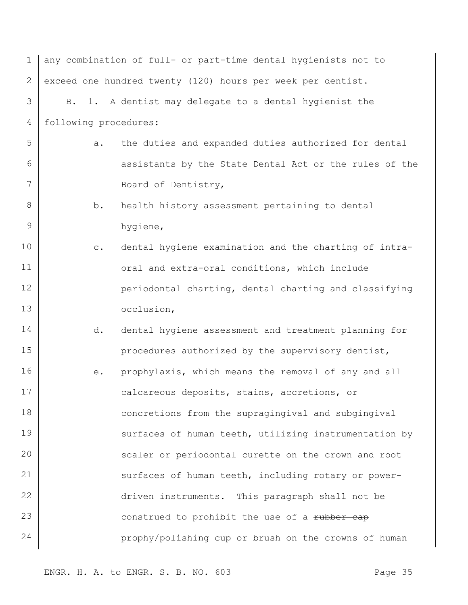| $\mathbf 1$  | any combination of full- or part-time dental hygienists not to          |  |
|--------------|-------------------------------------------------------------------------|--|
| $\mathbf{2}$ | exceed one hundred twenty (120) hours per week per dentist.             |  |
| 3            | B. 1. A dentist may delegate to a dental hygienist the                  |  |
| 4            | following procedures:                                                   |  |
| 5            | the duties and expanded duties authorized for dental<br>а.              |  |
| 6            | assistants by the State Dental Act or the rules of the                  |  |
| 7            | Board of Dentistry,                                                     |  |
| 8            | b.<br>health history assessment pertaining to dental                    |  |
| 9            | hygiene,                                                                |  |
| 10           | dental hygiene examination and the charting of intra-<br>$\mathtt{C}$ . |  |
| 11           | oral and extra-oral conditions, which include                           |  |
| 12           | periodontal charting, dental charting and classifying                   |  |
| 13           | occlusion,                                                              |  |
| 14           | dental hygiene assessment and treatment planning for<br>d.              |  |
| 15           | procedures authorized by the supervisory dentist,                       |  |
| 16           | prophylaxis, which means the removal of any and all<br>е.               |  |
| 17           | calcareous deposits, stains, accretions, or                             |  |
| 18           | concretions from the supragingival and subgingival                      |  |
| 19           | surfaces of human teeth, utilizing instrumentation by                   |  |
| 20           | scaler or periodontal curette on the crown and root                     |  |
| 21           | surfaces of human teeth, including rotary or power-                     |  |
| 22           | driven instruments. This paragraph shall not be                         |  |
| 23           | construed to prohibit the use of a rubber cap                           |  |
| 24           | prophy/polishing cup or brush on the crowns of human                    |  |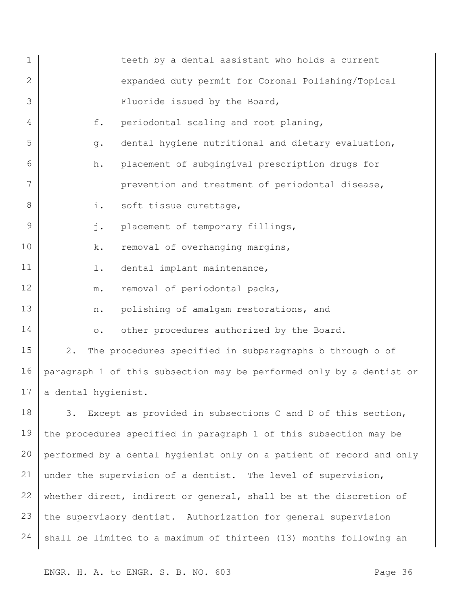| $\mathbf 1$     | teeth by a dental assistant who holds a current                      |
|-----------------|----------------------------------------------------------------------|
| 2               | expanded duty permit for Coronal Polishing/Topical                   |
| 3               | Fluoride issued by the Board,                                        |
| 4               | f.<br>periodontal scaling and root planing,                          |
| 5               | dental hygiene nutritional and dietary evaluation,<br>g.             |
| 6               | placement of subgingival prescription drugs for<br>h.                |
| 7               | prevention and treatment of periodontal disease,                     |
| 8               | i.<br>soft tissue curettage,                                         |
| 9               | j.<br>placement of temporary fillings,                               |
| 10              | removal of overhanging margins,<br>k.                                |
| 11              | dental implant maintenance,<br>$1$ .                                 |
| 12              | removal of periodontal packs,<br>${\mathfrak m}$ .                   |
| 13              | polishing of amalgam restorations, and<br>n.                         |
| 14              | other procedures authorized by the Board.<br>$\circ$ .               |
| 15              | The procedures specified in subparagraphs b through o of<br>$2$ .    |
| 16              | paragraph 1 of this subsection may be performed only by a dentist or |
| 17 <sub>1</sub> | a dental hygienist.                                                  |
| 18              | Except as provided in subsections C and D of this section,<br>3.     |
| 19              | the procedures specified in paragraph 1 of this subsection may be    |
| 20              | performed by a dental hygienist only on a patient of record and only |
| 21              | under the supervision of a dentist. The level of supervision,        |
| 22              | whether direct, indirect or general, shall be at the discretion of   |
| 23              | the supervisory dentist. Authorization for general supervision       |
| 24              | shall be limited to a maximum of thirteen (13) months following an   |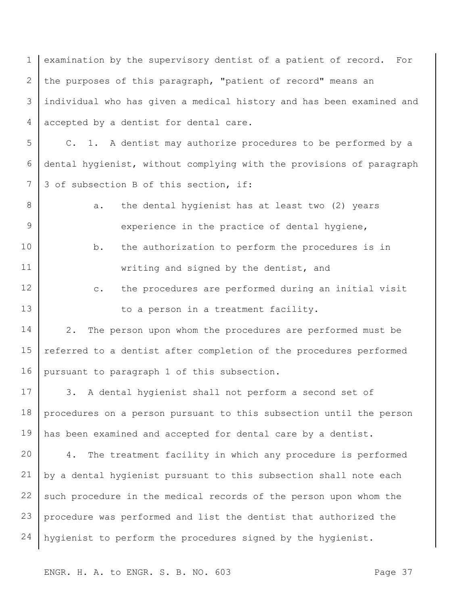1 2 3 4 examination by the supervisory dentist of a patient of record. For the purposes of this paragraph, "patient of record" means an individual who has given a medical history and has been examined and accepted by a dentist for dental care.

5 6 7 C. 1. A dentist may authorize procedures to be performed by a dental hygienist, without complying with the provisions of paragraph 3 of subsection B of this section, if:

a. the dental hygienist has at least two (2) years experience in the practice of dental hygiene,

8

9

- 10 11 b. the authorization to perform the procedures is in writing and signed by the dentist, and
- 12 13 c. the procedures are performed during an initial visit to a person in a treatment facility.

14 15 16 2. The person upon whom the procedures are performed must be referred to a dentist after completion of the procedures performed pursuant to paragraph 1 of this subsection.

17 18 19 3. A dental hygienist shall not perform a second set of procedures on a person pursuant to this subsection until the person has been examined and accepted for dental care by a dentist.

20 21 22 23 24 4. The treatment facility in which any procedure is performed by a dental hygienist pursuant to this subsection shall note each such procedure in the medical records of the person upon whom the procedure was performed and list the dentist that authorized the hygienist to perform the procedures signed by the hygienist.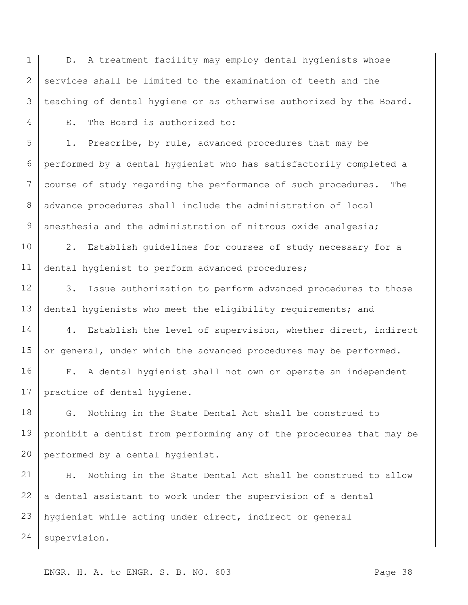1 2 3 D. A treatment facility may employ dental hygienists whose services shall be limited to the examination of teeth and the teaching of dental hygiene or as otherwise authorized by the Board.

E. The Board is authorized to:

4

5 6 7 8 9 1. Prescribe, by rule, advanced procedures that may be performed by a dental hygienist who has satisfactorily completed a course of study regarding the performance of such procedures. The advance procedures shall include the administration of local anesthesia and the administration of nitrous oxide analgesia;

10 11 2. Establish guidelines for courses of study necessary for a dental hygienist to perform advanced procedures;

12 13 3. Issue authorization to perform advanced procedures to those dental hygienists who meet the eligibility requirements; and

14 15 4. Establish the level of supervision, whether direct, indirect or general, under which the advanced procedures may be performed.

16 17 F. A dental hygienist shall not own or operate an independent practice of dental hygiene.

18 19 20 G. Nothing in the State Dental Act shall be construed to prohibit a dentist from performing any of the procedures that may be performed by a dental hygienist.

21 22 23 24 H. Nothing in the State Dental Act shall be construed to allow a dental assistant to work under the supervision of a dental hygienist while acting under direct, indirect or general supervision.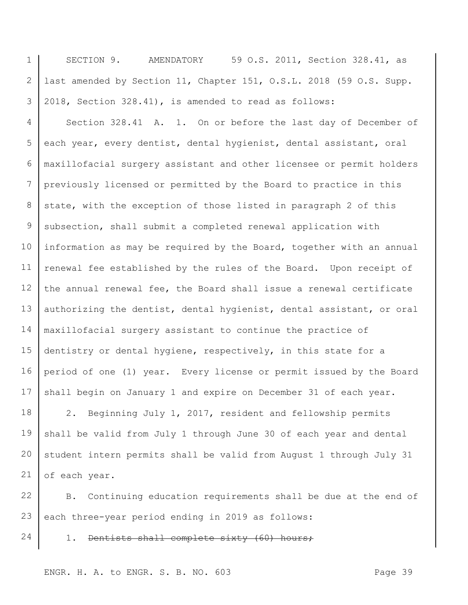1 2 3 SECTION 9. AMENDATORY 59 O.S. 2011, Section 328.41, as last amended by Section 11, Chapter 151, O.S.L. 2018 (59 O.S. Supp. 2018, Section 328.41), is amended to read as follows:

4 5 6 7 8 9 10 11 12 13 14 15 16 17 Section 328.41 A. 1. On or before the last day of December of each year, every dentist, dental hygienist, dental assistant, oral maxillofacial surgery assistant and other licensee or permit holders previously licensed or permitted by the Board to practice in this state, with the exception of those listed in paragraph 2 of this subsection, shall submit a completed renewal application with information as may be required by the Board, together with an annual renewal fee established by the rules of the Board. Upon receipt of the annual renewal fee, the Board shall issue a renewal certificate authorizing the dentist, dental hygienist, dental assistant, or oral maxillofacial surgery assistant to continue the practice of dentistry or dental hygiene, respectively, in this state for a period of one (1) year. Every license or permit issued by the Board shall begin on January 1 and expire on December 31 of each year.

18 19 20 21 2. Beginning July 1, 2017, resident and fellowship permits shall be valid from July 1 through June 30 of each year and dental student intern permits shall be valid from August 1 through July 31 of each year.

22 23 B. Continuing education requirements shall be due at the end of each three-year period ending in 2019 as follows:

1. Dentists shall complete sixty (60) hours;

ENGR. H. A. to ENGR. S. B. NO. 603

24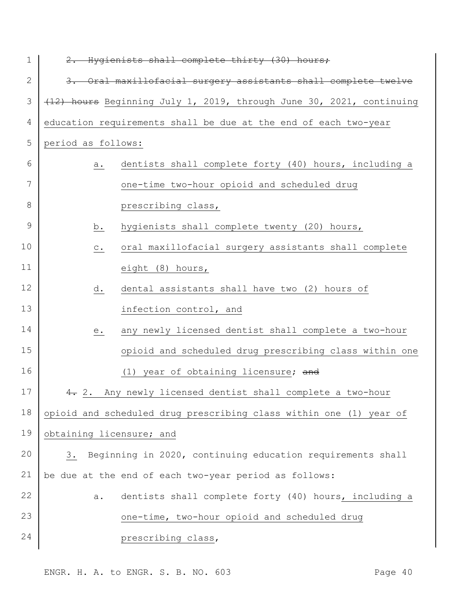| 1            | 2. Hygienists shall complete thirty (30) hours;                        |
|--------------|------------------------------------------------------------------------|
| $\mathbf{2}$ | 3. Oral maxillofacial surgery assistants shall complete twelve         |
| 3            | (12) hours Beginning July 1, 2019, through June 30, 2021, continuing   |
| 4            | education requirements shall be due at the end of each two-year        |
| 5            | period as follows:                                                     |
| 6            | dentists shall complete forty (40) hours, including a<br>а.            |
| 7            | one-time two-hour opioid and scheduled drug                            |
| 8            | prescribing class,                                                     |
| 9            | hygienists shall complete twenty (20) hours,<br>b.                     |
| 10           | oral maxillofacial surgery assistants shall complete<br>$\mathtt{C}$ . |
| 11           | eight (8) hours,                                                       |
| 12           | dental assistants shall have two (2) hours of<br>d.                    |
| 13           | infection control, and                                                 |
| 14           | any newly licensed dentist shall complete a two-hour<br>$e$ .          |
| 15           | opioid and scheduled drug prescribing class within one                 |
| 16           | (1) year of obtaining licensure; and                                   |
| 17           | 4. 2. Any newly licensed dentist shall complete a two-hour             |
| 18           | opioid and scheduled drug prescribing class within one (1) year of     |
| 19           | obtaining licensure; and                                               |
| 20           | Beginning in 2020, continuing education requirements shall<br>3.       |
| 21           | be due at the end of each two-year period as follows:                  |
| 22           | dentists shall complete forty (40) hours, including a<br>a.            |
| 23           | one-time, two-hour opioid and scheduled drug                           |
| 24           | prescribing class,                                                     |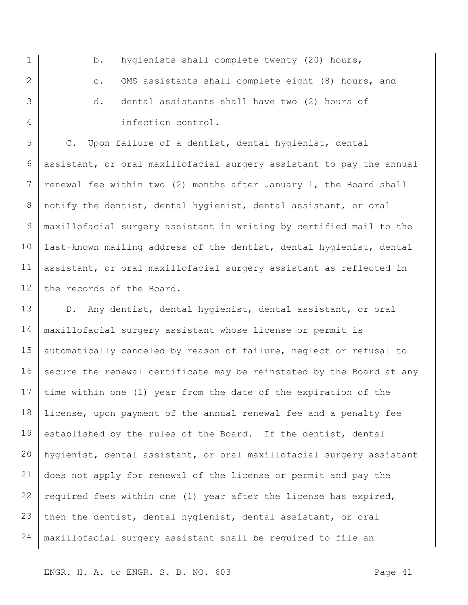b. hygienists shall complete twenty (20) hours, c. OMS assistants shall complete eight (8) hours, and d. dental assistants shall have two (2) hours of infection control.

1

2

3

4

5 6 7 8 9 10 11 12 C. Upon failure of a dentist, dental hygienist, dental assistant, or oral maxillofacial surgery assistant to pay the annual renewal fee within two (2) months after January 1, the Board shall notify the dentist, dental hygienist, dental assistant, or oral maxillofacial surgery assistant in writing by certified mail to the last-known mailing address of the dentist, dental hygienist, dental assistant, or oral maxillofacial surgery assistant as reflected in the records of the Board.

13 14 15 16 17 18 19 20 21 22 23 24 D. Any dentist, dental hygienist, dental assistant, or oral maxillofacial surgery assistant whose license or permit is automatically canceled by reason of failure, neglect or refusal to secure the renewal certificate may be reinstated by the Board at any time within one (1) year from the date of the expiration of the license, upon payment of the annual renewal fee and a penalty fee established by the rules of the Board. If the dentist, dental hygienist, dental assistant, or oral maxillofacial surgery assistant does not apply for renewal of the license or permit and pay the required fees within one (1) year after the license has expired, then the dentist, dental hygienist, dental assistant, or oral maxillofacial surgery assistant shall be required to file an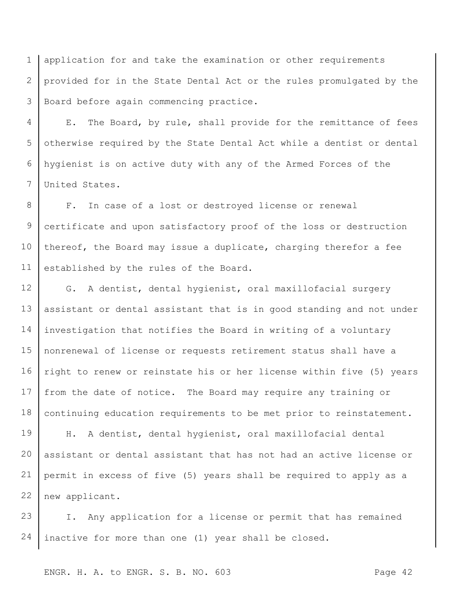1 2 3 application for and take the examination or other requirements provided for in the State Dental Act or the rules promulgated by the Board before again commencing practice.

4 5 6 7 E. The Board, by rule, shall provide for the remittance of fees otherwise required by the State Dental Act while a dentist or dental hygienist is on active duty with any of the Armed Forces of the United States.

8 9 10 11 F. In case of a lost or destroyed license or renewal certificate and upon satisfactory proof of the loss or destruction thereof, the Board may issue a duplicate, charging therefor a fee established by the rules of the Board.

12 13 14 15 16 17 18 G. A dentist, dental hygienist, oral maxillofacial surgery assistant or dental assistant that is in good standing and not under investigation that notifies the Board in writing of a voluntary nonrenewal of license or requests retirement status shall have a right to renew or reinstate his or her license within five (5) years from the date of notice. The Board may require any training or continuing education requirements to be met prior to reinstatement.

19 20 21 22 H. A dentist, dental hygienist, oral maxillofacial dental assistant or dental assistant that has not had an active license or permit in excess of five (5) years shall be required to apply as a new applicant.

23 24 I. Any application for a license or permit that has remained inactive for more than one (1) year shall be closed.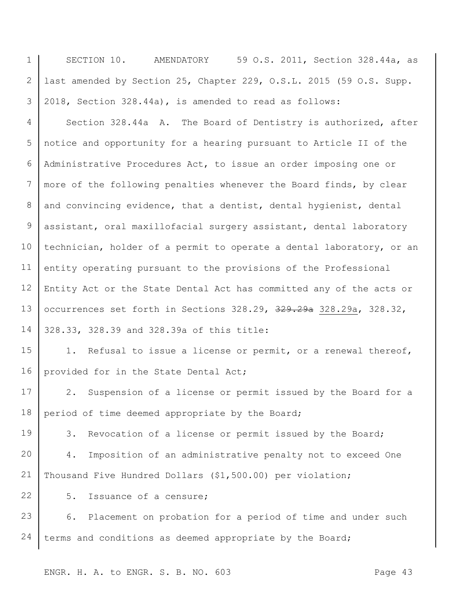1 2 3 SECTION 10. AMENDATORY 59 O.S. 2011, Section 328.44a, as last amended by Section 25, Chapter 229, O.S.L. 2015 (59 O.S. Supp. 2018, Section 328.44a), is amended to read as follows:

4 5 6 7 8 9 10 11 12 13 14 Section 328.44a A. The Board of Dentistry is authorized, after notice and opportunity for a hearing pursuant to Article II of the Administrative Procedures Act, to issue an order imposing one or more of the following penalties whenever the Board finds, by clear and convincing evidence, that a dentist, dental hygienist, dental assistant, oral maxillofacial surgery assistant, dental laboratory technician, holder of a permit to operate a dental laboratory, or an entity operating pursuant to the provisions of the Professional Entity Act or the State Dental Act has committed any of the acts or occurrences set forth in Sections 328.29, 329.29a 328.29a, 328.32, 328.33, 328.39 and 328.39a of this title:

15 16 1. Refusal to issue a license or permit, or a renewal thereof, provided for in the State Dental Act;

17 18 2. Suspension of a license or permit issued by the Board for a period of time deemed appropriate by the Board;

3. Revocation of a license or permit issued by the Board;

20 21 4. Imposition of an administrative penalty not to exceed One Thousand Five Hundred Dollars (\$1,500.00) per violation;

5. Issuance of a censure;

19

22

23 24 6. Placement on probation for a period of time and under such terms and conditions as deemed appropriate by the Board;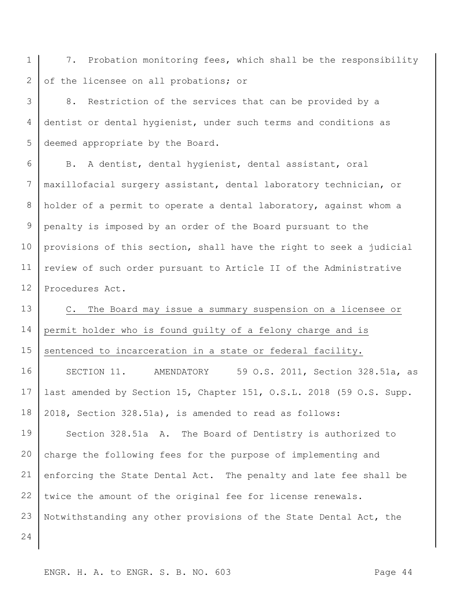1 2 7. Probation monitoring fees, which shall be the responsibility of the licensee on all probations; or

3 4 5 8. Restriction of the services that can be provided by a dentist or dental hygienist, under such terms and conditions as deemed appropriate by the Board.

6 7 8 9 10 11 12 B. A dentist, dental hygienist, dental assistant, oral maxillofacial surgery assistant, dental laboratory technician, or holder of a permit to operate a dental laboratory, against whom a penalty is imposed by an order of the Board pursuant to the provisions of this section, shall have the right to seek a judicial review of such order pursuant to Article II of the Administrative Procedures Act.

13 14 15 C. The Board may issue a summary suspension on a licensee or permit holder who is found guilty of a felony charge and is sentenced to incarceration in a state or federal facility.

16 17 18 SECTION 11. AMENDATORY 59 O.S. 2011, Section 328.51a, as last amended by Section 15, Chapter 151, O.S.L. 2018 (59 O.S. Supp. 2018, Section 328.51a), is amended to read as follows:

19 20 21 22 23 Section 328.51a A. The Board of Dentistry is authorized to charge the following fees for the purpose of implementing and enforcing the State Dental Act. The penalty and late fee shall be twice the amount of the original fee for license renewals. Notwithstanding any other provisions of the State Dental Act, the

24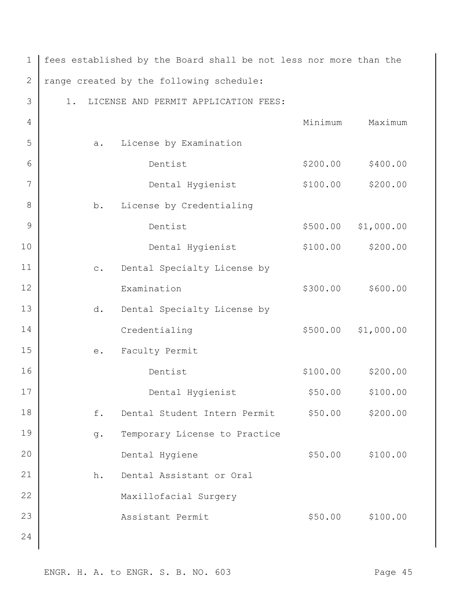| $\mathbf 1$ |                                          | fees established by the Board shall be not less nor more than the |          |                  |  |
|-------------|------------------------------------------|-------------------------------------------------------------------|----------|------------------|--|
| $\sqrt{2}$  | range created by the following schedule: |                                                                   |          |                  |  |
| 3           | 1.                                       | LICENSE AND PERMIT APPLICATION FEES:                              |          |                  |  |
| 4           |                                          |                                                                   | Minimum  | Maximum          |  |
| 5           | a.                                       | License by Examination                                            |          |                  |  |
| 6           |                                          | Dentist                                                           | \$200.00 | \$400.00         |  |
| 7           |                                          | Dental Hygienist                                                  | \$100.00 | \$200.00         |  |
| 8           | b.                                       | License by Credentialing                                          |          |                  |  |
| 9           |                                          | Dentist                                                           | \$500.00 | \$1,000.00       |  |
| 10          |                                          | Dental Hygienist                                                  | \$100.00 | \$200.00         |  |
| 11          | $\mathtt{C}$ .                           | Dental Specialty License by                                       |          |                  |  |
| 12          |                                          | Examination                                                       | \$300.00 | \$600.00         |  |
| 13          | d.                                       | Dental Specialty License by                                       |          |                  |  |
| 14          |                                          | Credentialing                                                     | \$500.00 | \$1,000.00       |  |
| 15          | e.                                       | Faculty Permit                                                    |          |                  |  |
| 16          |                                          | Dentist                                                           | \$100.00 | \$200.00         |  |
| 17          |                                          | Dental Hygienist                                                  | \$50.00  | \$100.00         |  |
| 18          | f.                                       | Dental Student Intern Permit                                      | \$50.00  | \$200.00         |  |
| 19          | g.                                       | Temporary License to Practice                                     |          |                  |  |
| 20          |                                          | Dental Hygiene                                                    | \$50.00  | \$100.00         |  |
| 21          | h.                                       | Dental Assistant or Oral                                          |          |                  |  |
| 22          |                                          | Maxillofacial Surgery                                             |          |                  |  |
| 23          |                                          | Assistant Permit                                                  |          | \$50.00 \$100.00 |  |
| 24          |                                          |                                                                   |          |                  |  |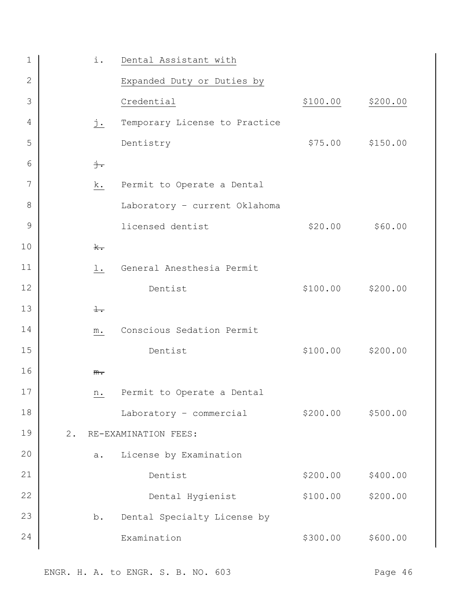| $\mathbf 1$  |    | i.                | Dental Assistant with         |          |          |
|--------------|----|-------------------|-------------------------------|----------|----------|
| $\mathbf{2}$ |    |                   | Expanded Duty or Duties by    |          |          |
| 3            |    |                   | Credential                    | \$100.00 | \$200.00 |
| 4            |    | $\underline{j}$ . | Temporary License to Practice |          |          |
| 5            |    |                   | Dentistry                     | \$75.00  | \$150.00 |
| 6            |    | $\frac{1}{2}$ .   |                               |          |          |
| 7            |    | k.                | Permit to Operate a Dental    |          |          |
| 8            |    |                   | Laboratory - current Oklahoma |          |          |
| 9            |    |                   | licensed dentist              | \$20.00  | \$60.00  |
| 10           |    | $\mathbf{k}$ .    |                               |          |          |
| 11           |    | $1$ .             | General Anesthesia Permit     |          |          |
| 12           |    |                   | Dentist                       | \$100.00 | \$200.00 |
| 13           |    | $\pm$ .           |                               |          |          |
| 14           |    | $m$ .             | Conscious Sedation Permit     |          |          |
| 15           |    |                   | Dentist                       | \$100.00 | \$200.00 |
| 16           |    | $m_{\tau}$        |                               |          |          |
| 17           |    | n.                | Permit to Operate a Dental    |          |          |
| 18           |    |                   | Laboratory - commercial       | \$200.00 | \$500.00 |
| 19           | 2. |                   | RE-EXAMINATION FEES:          |          |          |
| 20           |    | a.                | License by Examination        |          |          |
| 21           |    |                   | Dentist                       | \$200.00 | \$400.00 |
| 22           |    |                   | Dental Hygienist              | \$100.00 | \$200.00 |
| 23           |    | b.                | Dental Specialty License by   |          |          |
| 24           |    |                   | Examination                   | \$300.00 | \$600.00 |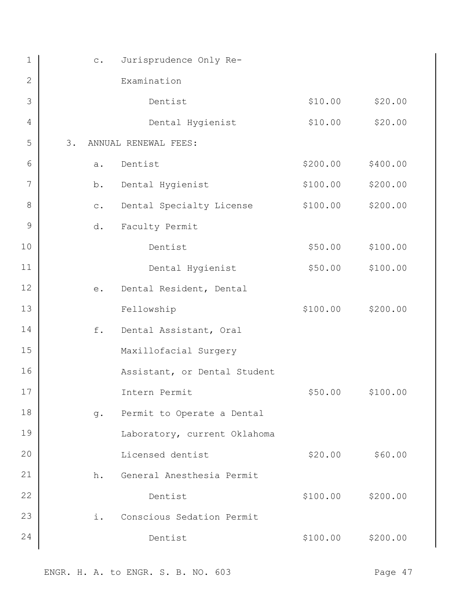| $\mathbf 1$     | $\circ$ .      | Jurisprudence Only Re-       |          |          |
|-----------------|----------------|------------------------------|----------|----------|
| 2               |                | Examination                  |          |          |
| 3               |                | Dentist                      | \$10.00  | \$20.00  |
| $\overline{4}$  |                | Dental Hygienist             | \$10.00  | \$20.00  |
| 5               | 3.             | ANNUAL RENEWAL FEES:         |          |          |
| 6               | a.             | Dentist                      | \$200.00 | \$400.00 |
| $7\phantom{.0}$ | b.             | Dental Hygienist             | \$100.00 | \$200.00 |
| 8               | $\mathtt{C}$ . | Dental Specialty License     | \$100.00 | \$200.00 |
| 9               | d.             | Faculty Permit               |          |          |
| 10              |                | Dentist                      | \$50.00  | \$100.00 |
| 11              |                | Dental Hygienist             | \$50.00  | \$100.00 |
| 12              | e.             | Dental Resident, Dental      |          |          |
| 13              |                | Fellowship                   | \$100.00 | \$200.00 |
| 14              | f.             | Dental Assistant, Oral       |          |          |
| 15              |                | Maxillofacial Surgery        |          |          |
| 16              |                | Assistant, or Dental Student |          |          |
| 17              |                | Intern Permit                | \$50.00  | \$100.00 |
| 18              | $g$ .          | Permit to Operate a Dental   |          |          |
| 19              |                | Laboratory, current Oklahoma |          |          |
| 20              |                | Licensed dentist             | \$20.00  | \$60.00  |
| 21              | h.             | General Anesthesia Permit    |          |          |
| 22              |                | Dentist                      | \$100.00 | \$200.00 |
| 23              | i.             | Conscious Sedation Permit    |          |          |
| 24              |                | Dentist                      | \$100.00 | \$200.00 |
|                 |                |                              |          |          |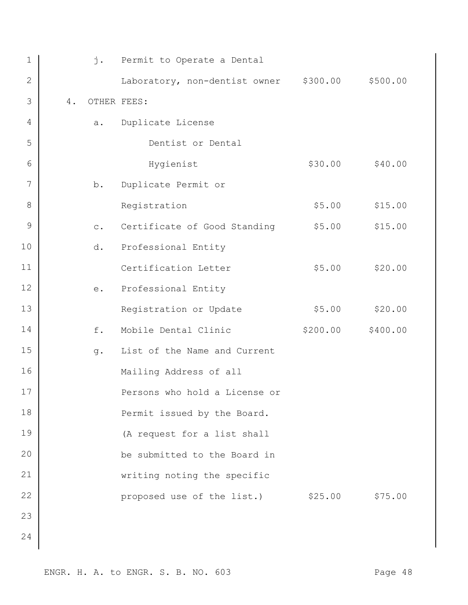| 1            |    | $\mathbf{j}$ . | Permit to Operate a Dental             |          |          |
|--------------|----|----------------|----------------------------------------|----------|----------|
| $\mathbf{2}$ |    |                | Laboratory, non-dentist owner \$300.00 |          | \$500.00 |
| 3            | 4. | OTHER FEES:    |                                        |          |          |
| 4            |    | a.             | Duplicate License                      |          |          |
| 5            |    |                | Dentist or Dental                      |          |          |
| 6            |    |                | Hygienist                              | \$30.00  | \$40.00  |
| 7            |    | b.             | Duplicate Permit or                    |          |          |
| 8            |    |                | Registration                           | \$5.00   | \$15.00  |
| $\mathsf 9$  |    | $\circ$ .      | Certificate of Good Standing           | \$5.00   | \$15.00  |
| 10           |    | d.             | Professional Entity                    |          |          |
| 11           |    |                | Certification Letter                   | \$5.00   | \$20.00  |
| 12           |    | e.             | Professional Entity                    |          |          |
| 13           |    |                | Registration or Update                 | \$5.00   | \$20.00  |
| 14           |    | f.             | Mobile Dental Clinic                   | \$200.00 | \$400.00 |
| 15           |    | q.             | List of the Name and Current           |          |          |
| 16           |    |                | Mailing Address of all                 |          |          |
| 17           |    |                | Persons who hold a License or          |          |          |
| 18           |    |                | Permit issued by the Board.            |          |          |
| 19           |    |                | (A request for a list shall            |          |          |
| 20           |    |                | be submitted to the Board in           |          |          |
| 21           |    |                | writing noting the specific            |          |          |
| 22           |    |                | proposed use of the list.)             | \$25.00  | \$75.00  |
| 23           |    |                |                                        |          |          |
| 24           |    |                |                                        |          |          |